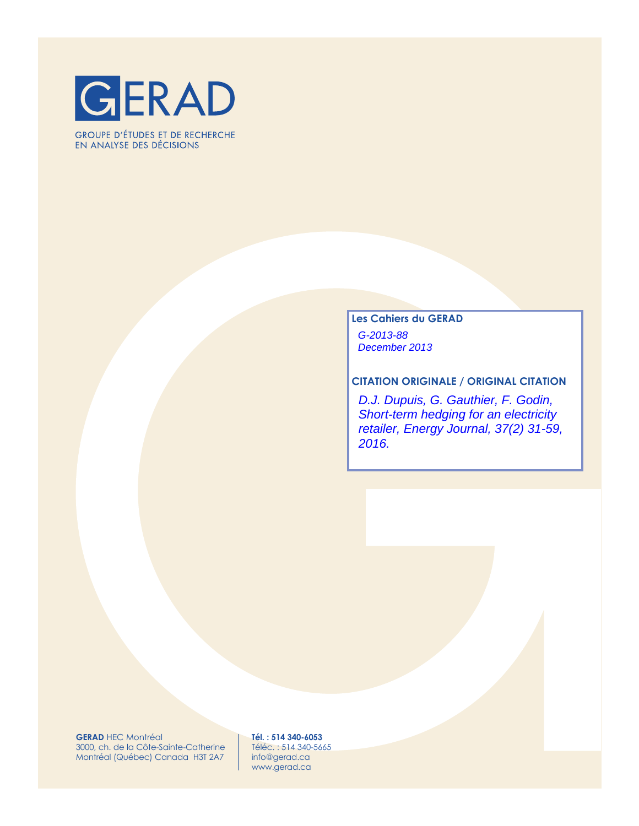

**GROUPE D'ÉTUDES ET DE RECHERCHE** EN ANALYSE DES DÉCISIONS

# **Les Cahiers du GERAD** G-2013-88 December 2013

### **CITATION ORIGINALE / ORIGINAL CITATION**

D.J. Dupuis, G. Gauthier, F. Godin, Short-term hedging for an electricity retailer, Energy Journal, 37(2) 31-59, 2016.

**GERAD** HEC Montréal 3000, ch. de la Côte-Sainte-Catherine Montréal (Québec) Canada H3T 2A7

**Tél. : 514 340-6053** Téléc. : 514 340-5665 info@gerad.ca www.gerad.ca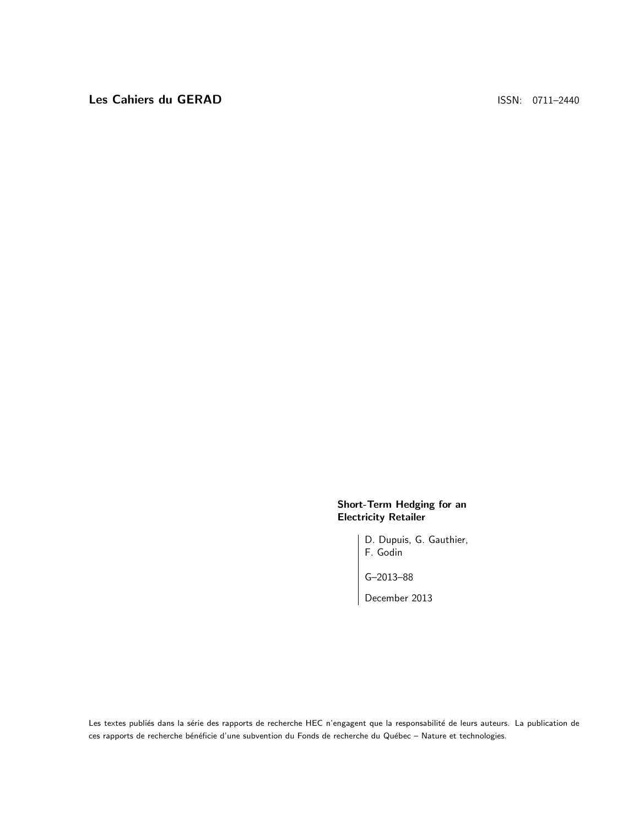### Short-Term Hedging for an Electricity Retailer

D. Dupuis, G. Gauthier, F. Godin

G–2013–88

December 2013

Les textes publiés dans la série des rapports de recherche HEC n'engagent que la responsabilité de leurs auteurs. La publication de ces rapports de recherche bénéficie d'une subvention du Fonds de recherche du Québec – Nature et technologies.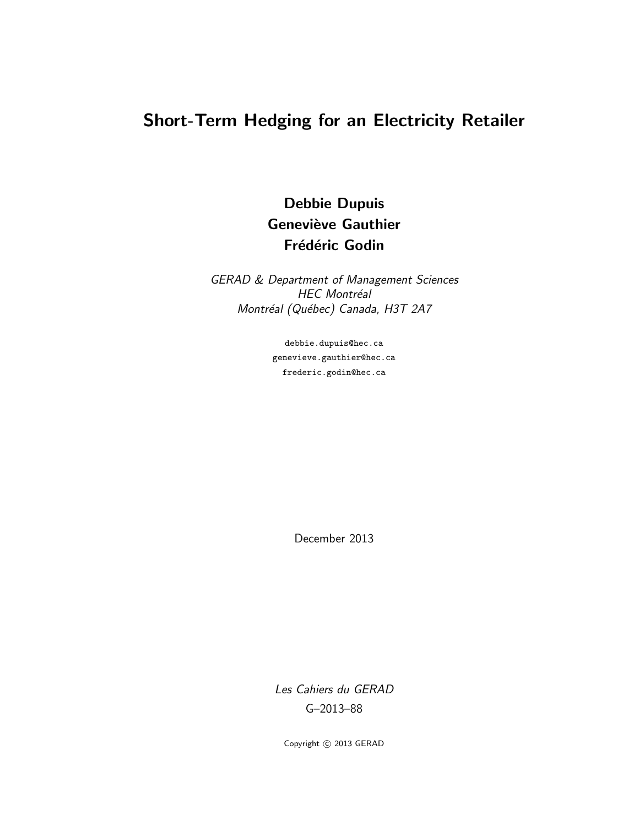# Short-Term Hedging for an Electricity Retailer

Debbie Dupuis **Geneviève Gauthier** Frédéric Godin

GERAD & Department of Management Sciences HEC Montréal Montréal (Québec) Canada, H3T 2A7

> debbie.dupuis@hec.ca genevieve.gauthier@hec.ca frederic.godin@hec.ca

> > December 2013

Les Cahiers du GERAD G–2013–88

Copyright © 2013 GERAD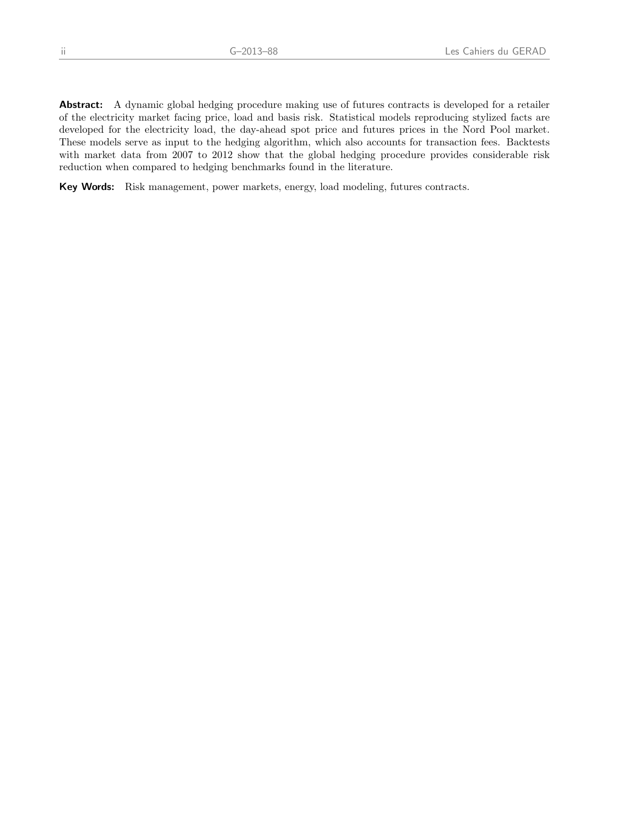Abstract: A dynamic global hedging procedure making use of futures contracts is developed for a retailer of the electricity market facing price, load and basis risk. Statistical models reproducing stylized facts are developed for the electricity load, the day-ahead spot price and futures prices in the Nord Pool market. These models serve as input to the hedging algorithm, which also accounts for transaction fees. Backtests with market data from 2007 to 2012 show that the global hedging procedure provides considerable risk reduction when compared to hedging benchmarks found in the literature.

Key Words: Risk management, power markets, energy, load modeling, futures contracts.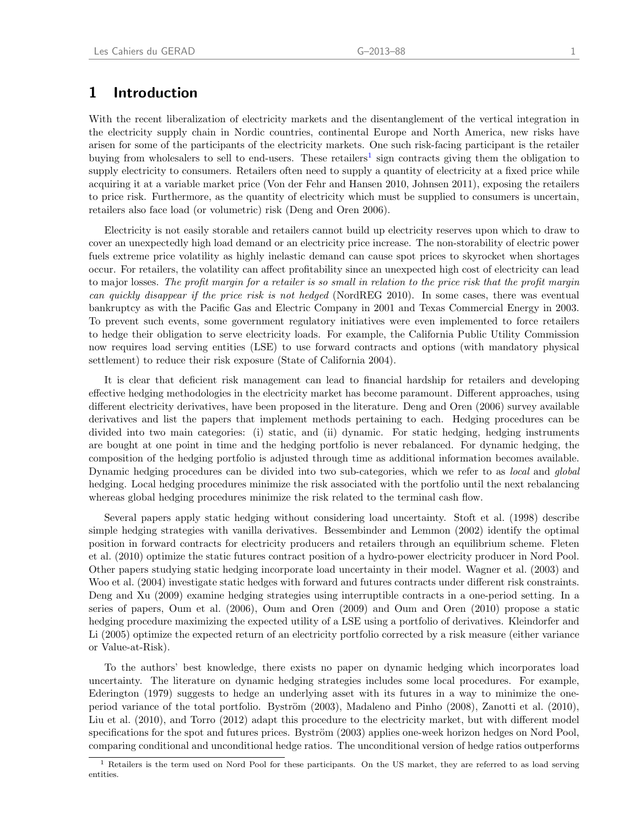# 1 Introduction

With the recent liberalization of electricity markets and the disentanglement of the vertical integration in the electricity supply chain in Nordic countries, continental Europe and North America, new risks have arisen for some of the participants of the electricity markets. One such risk-facing participant is the retailer buying from wholesalers to sell to end-users. These retailers<sup>[1](#page-5-0)</sup> sign contracts giving them the obligation to supply electricity to consumers. Retailers often need to supply a quantity of electricity at a fixed price while acquiring it at a variable market price [\(Von der Fehr and Hansen](#page-26-0) [2010,](#page-26-0) [Johnsen](#page-26-1) [2011\)](#page-26-1), exposing the retailers to price risk. Furthermore, as the quantity of electricity which must be supplied to consumers is uncertain, retailers also face load (or volumetric) risk [\(Deng and Oren](#page-25-0) [2006\)](#page-25-0).

Electricity is not easily storable and retailers cannot build up electricity reserves upon which to draw to cover an unexpectedly high load demand or an electricity price increase. The non-storability of electric power fuels extreme price volatility as highly inelastic demand can cause spot prices to skyrocket when shortages occur. For retailers, the volatility can affect profitability since an unexpected high cost of electricity can lead to major losses. The profit margin for a retailer is so small in relation to the price risk that the profit margin can quickly disappear if the price risk is not hedged [\(NordREG](#page-26-2) [2010\)](#page-26-2). In some cases, there was eventual bankruptcy as with the Pacific Gas and Electric Company in 2001 and Texas Commercial Energy in 2003. To prevent such events, some government regulatory initiatives were even implemented to force retailers to hedge their obligation to serve electricity loads. For example, the California Public Utility Commission now requires load serving entities (LSE) to use forward contracts and options (with mandatory physical settlement) to reduce their risk exposure [\(State of California](#page-26-3) [2004\)](#page-26-3).

It is clear that deficient risk management can lead to financial hardship for retailers and developing effective hedging methodologies in the electricity market has become paramount. Different approaches, using different electricity derivatives, have been proposed in the literature. [Deng and Oren](#page-25-0) [\(2006\)](#page-25-0) survey available derivatives and list the papers that implement methods pertaining to each. Hedging procedures can be divided into two main categories: (i) static, and (ii) dynamic. For static hedging, hedging instruments are bought at one point in time and the hedging portfolio is never rebalanced. For dynamic hedging, the composition of the hedging portfolio is adjusted through time as additional information becomes available. Dynamic hedging procedures can be divided into two sub-categories, which we refer to as local and global hedging. Local hedging procedures minimize the risk associated with the portfolio until the next rebalancing whereas global hedging procedures minimize the risk related to the terminal cash flow.

Several papers apply static hedging without considering load uncertainty. [Stoft et al.](#page-26-4) [\(1998\)](#page-26-4) describe simple hedging strategies with vanilla derivatives. [Bessembinder and Lemmon](#page-25-1) [\(2002\)](#page-25-1) identify the optimal position in forward contracts for electricity producers and retailers through an equilibrium scheme. [Fleten](#page-26-5) [et al.](#page-26-5) [\(2010\)](#page-26-5) optimize the static futures contract position of a hydro-power electricity producer in Nord Pool. Other papers studying static hedging incorporate load uncertainty in their model. [Wagner et al.](#page-26-6) [\(2003\)](#page-26-6) and [Woo et al.](#page-26-7) [\(2004\)](#page-26-7) investigate static hedges with forward and futures contracts under different risk constraints. [Deng and Xu](#page-25-2) [\(2009\)](#page-25-2) examine hedging strategies using interruptible contracts in a one-period setting. In a series of papers, [Oum et al.](#page-26-8) [\(2006\)](#page-26-8), [Oum and Oren](#page-26-9) [\(2009\)](#page-26-9) and [Oum and Oren](#page-26-10) [\(2010\)](#page-26-10) propose a static hedging procedure maximizing the expected utility of a LSE using a portfolio of derivatives. [Kleindorfer and](#page-26-11) [Li](#page-26-11) [\(2005\)](#page-26-11) optimize the expected return of an electricity portfolio corrected by a risk measure (either variance or Value-at-Risk).

To the authors' best knowledge, there exists no paper on dynamic hedging which incorporates load uncertainty. The literature on dynamic hedging strategies includes some local procedures. For example, [Ederington](#page-25-3) [\(1979\)](#page-25-3) suggests to hedge an underlying asset with its futures in a way to minimize the one-period variance of the total portfolio. Byström [\(2003\)](#page-25-4), [Madaleno and Pinho](#page-26-12) [\(2008\)](#page-26-12), [Zanotti et al.](#page-26-13) [\(2010\)](#page-26-13), [Liu et al.](#page-26-14) [\(2010\)](#page-26-14), and [Torro](#page-26-15) [\(2012\)](#page-26-15) adapt this procedure to the electricity market, but with different model specifications for the spot and futures prices. Byström [\(2003\)](#page-25-4) applies one-week horizon hedges on Nord Pool, comparing conditional and unconditional hedge ratios. The unconditional version of hedge ratios outperforms

<span id="page-5-0"></span><sup>&</sup>lt;sup>1</sup> Retailers is the term used on Nord Pool for these participants. On the US market, they are referred to as load serving entities.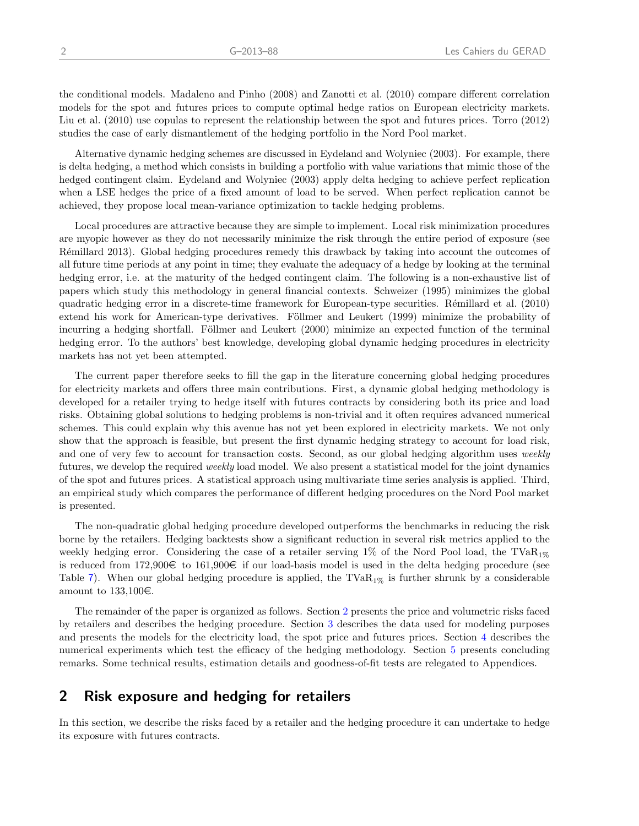the conditional models. [Madaleno and Pinho](#page-26-12) [\(2008\)](#page-26-12) and [Zanotti et al.](#page-26-13) [\(2010\)](#page-26-13) compare different correlation models for the spot and futures prices to compute optimal hedge ratios on European electricity markets. [Liu et al.](#page-26-14) [\(2010\)](#page-26-14) use copulas to represent the relationship between the spot and futures prices. [Torro](#page-26-15) [\(2012\)](#page-26-15) studies the case of early dismantlement of the hedging portfolio in the Nord Pool market.

Alternative dynamic hedging schemes are discussed in [Eydeland and Wolyniec](#page-25-5) [\(2003\)](#page-25-5). For example, there is delta hedging, a method which consists in building a portfolio with value variations that mimic those of the hedged contingent claim. [Eydeland and Wolyniec](#page-25-5) [\(2003\)](#page-25-5) apply delta hedging to achieve perfect replication when a LSE hedges the price of a fixed amount of load to be served. When perfect replication cannot be achieved, they propose local mean-variance optimization to tackle hedging problems.

Local procedures are attractive because they are simple to implement. Local risk minimization procedures are myopic however as they do not necessarily minimize the risk through the entire period of exposur[e](#page-26-16) [\(see](#page-26-16) Rémillard 2013). Global hedging procedures remedy this drawback by taking into account the outcomes of all future time periods at any point in time; they evaluate the adequacy of a hedge by looking at the terminal hedging error, i.e. at the maturity of the hedged contingent claim. The following is a non-exhaustive list of papers which study this methodology in general financial contexts. [Schweizer](#page-26-17) [\(1995\)](#page-26-17) minimizes the global quadratic hedging error in a discrete-time framework for European-type securities. Rémillard et al. [\(2010\)](#page-26-18) extend his work for American-type derivatives. Föllmer and Leukert [\(1999\)](#page-26-19) minimize the probability of incurring a hedging shortfall. Föllmer and Leukert [\(2000\)](#page-26-20) minimize an expected function of the terminal hedging error. To the authors' best knowledge, developing global dynamic hedging procedures in electricity markets has not yet been attempted.

The current paper therefore seeks to fill the gap in the literature concerning global hedging procedures for electricity markets and offers three main contributions. First, a dynamic global hedging methodology is developed for a retailer trying to hedge itself with futures contracts by considering both its price and load risks. Obtaining global solutions to hedging problems is non-trivial and it often requires advanced numerical schemes. This could explain why this avenue has not yet been explored in electricity markets. We not only show that the approach is feasible, but present the first dynamic hedging strategy to account for load risk, and one of very few to account for transaction costs. Second, as our global hedging algorithm uses weekly futures, we develop the required weekly load model. We also present a statistical model for the joint dynamics of the spot and futures prices. A statistical approach using multivariate time series analysis is applied. Third, an empirical study which compares the performance of different hedging procedures on the Nord Pool market is presented.

The non-quadratic global hedging procedure developed outperforms the benchmarks in reducing the risk borne by the retailers. Hedging backtests show a significant reduction in several risk metrics applied to the weekly hedging error. Considering the case of a retailer serving 1% of the Nord Pool load, the TVaR<sub>1%</sub> is reduced from  $172,900 \in \infty$  to  $161,900 \in \infty$  if our load-basis model is used in the delta hedging procedure (see Table [7](#page-18-0)). When our global hedging procedure is applied, the  $TVaR_{1\%}$  is further shrunk by a considerable amount to  $133,100\in$ .

The remainder of the paper is organized as follows. Section [2](#page-6-0) presents the price and volumetric risks faced by retailers and describes the hedging procedure. Section [3](#page-10-0) describes the data used for modeling purposes and presents the models for the electricity load, the spot price and futures prices. Section [4](#page-16-0) describes the numerical experiments which test the efficacy of the hedging methodology. Section [5](#page-19-0) presents concluding remarks. Some technical results, estimation details and goodness-of-fit tests are relegated to Appendices.

# <span id="page-6-0"></span>2 Risk exposure and hedging for retailers

In this section, we describe the risks faced by a retailer and the hedging procedure it can undertake to hedge its exposure with futures contracts.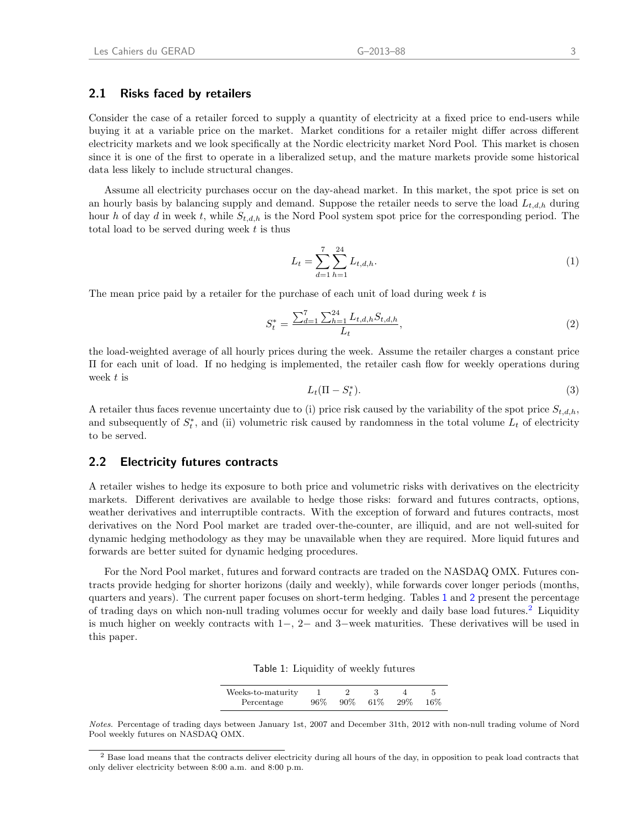### 2.1 Risks faced by retailers

Consider the case of a retailer forced to supply a quantity of electricity at a fixed price to end-users while buying it at a variable price on the market. Market conditions for a retailer might differ across different electricity markets and we look specifically at the Nordic electricity market Nord Pool. This market is chosen since it is one of the first to operate in a liberalized setup, and the mature markets provide some historical data less likely to include structural changes.

Assume all electricity purchases occur on the day-ahead market. In this market, the spot price is set on an hourly basis by balancing supply and demand. Suppose the retailer needs to serve the load  $L_{t,d,h}$  during hour h of day d in week t, while  $S_{t,d,h}$  is the Nord Pool system spot price for the corresponding period. The total load to be served during week  $t$  is thus

<span id="page-7-4"></span>
$$
L_t = \sum_{d=1}^{7} \sum_{h=1}^{24} L_{t,d,h}.
$$
\n(1)

The mean price paid by a retailer for the purchase of each unit of load during week  $t$  is

<span id="page-7-2"></span>
$$
S_t^* = \frac{\sum_{d=1}^7 \sum_{h=1}^{24} L_{t,d,h} S_{t,d,h}}{L_t},\tag{2}
$$

the load-weighted average of all hourly prices during the week. Assume the retailer charges a constant price Π for each unit of load. If no hedging is implemented, the retailer cash flow for weekly operations during week t is

<span id="page-7-3"></span>
$$
L_t(\Pi - S_t^*). \tag{3}
$$

A retailer thus faces revenue uncertainty due to (i) price risk caused by the variability of the spot price  $S_{t,d,h}$ , and subsequently of  $S_t^*$ , and (ii) volumetric risk caused by randomness in the total volume  $L_t$  of electricity to be served.

#### 2.2 Electricity futures contracts

A retailer wishes to hedge its exposure to both price and volumetric risks with derivatives on the electricity markets. Different derivatives are available to hedge those risks: forward and futures contracts, options, weather derivatives and interruptible contracts. With the exception of forward and futures contracts, most derivatives on the Nord Pool market are traded over-the-counter, are illiquid, and are not well-suited for dynamic hedging methodology as they may be unavailable when they are required. More liquid futures and forwards are better suited for dynamic hedging procedures.

For the Nord Pool market, futures and forward contracts are traded on the NASDAQ OMX. Futures contracts provide hedging for shorter horizons (daily and weekly), while forwards cover longer periods (months, quarters and years). The current paper focuses on short-term hedging. Tables [1](#page-7-0) and [2](#page-8-0) present the percentage of trading days on which non-null trading volumes occur for weekly and daily base load futures.<sup>[2](#page-7-1)</sup> Liquidity is much higher on weekly contracts with 1−, 2− and 3−week maturities. These derivatives will be used in this paper.

<span id="page-7-0"></span>

|  | Table 1: Liquidity of weekly futures |  |  |
|--|--------------------------------------|--|--|
|--|--------------------------------------|--|--|

| Weeks-to-maturity |     |        |       |        |      |
|-------------------|-----|--------|-------|--------|------|
| Percentage        | 96% | $90\%$ | - 61% | $29\%$ | -16% |

Notes. Percentage of trading days between January 1st, 2007 and December 31th, 2012 with non-null trading volume of Nord Pool weekly futures on NASDAQ OMX.

<span id="page-7-1"></span><sup>2</sup> Base load means that the contracts deliver electricity during all hours of the day, in opposition to peak load contracts that only deliver electricity between 8:00 a.m. and 8:00 p.m.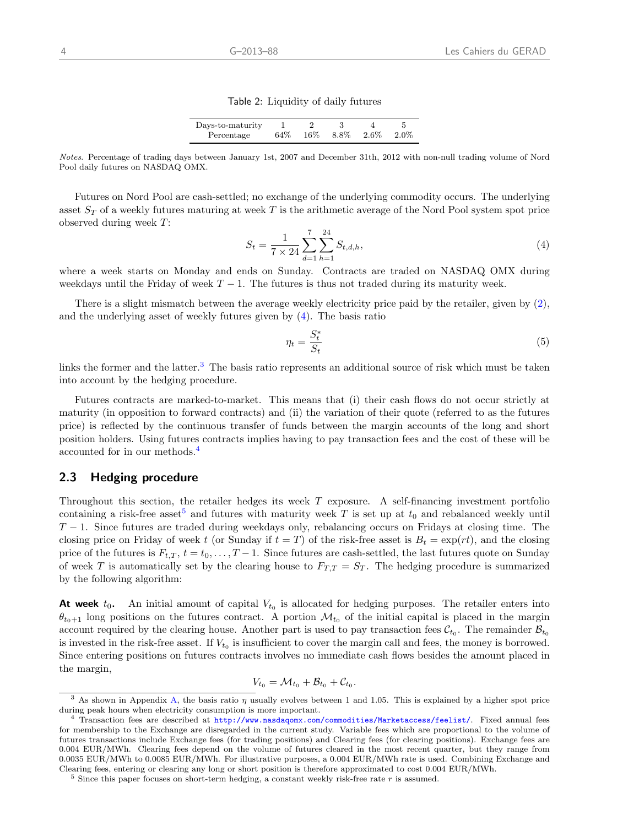#### <span id="page-8-0"></span>Table 2: Liquidity of daily futures

| Days-to-maturity |     |        |              |         |
|------------------|-----|--------|--------------|---------|
| Percentage       | 64% | $16\%$ | $8.8\%$ 2.6% | $2.0\%$ |

Notes. Percentage of trading days between January 1st, 2007 and December 31th, 2012 with non-null trading volume of Nord Pool daily futures on NASDAQ OMX.

Futures on Nord Pool are cash-settled; no exchange of the underlying commodity occurs. The underlying asset  $S_T$  of a weekly futures maturing at week T is the arithmetic average of the Nord Pool system spot price observed during week T:

<span id="page-8-1"></span>
$$
S_t = \frac{1}{7 \times 24} \sum_{d=1}^{7} \sum_{h=1}^{24} S_{t,d,h},\tag{4}
$$

where a week starts on Monday and ends on Sunday. Contracts are traded on NASDAQ OMX during weekdays until the Friday of week  $T - 1$ . The futures is thus not traded during its maturity week.

There is a slight mismatch between the average weekly electricity price paid by the retailer, given by [\(2\)](#page-7-2), and the underlying asset of weekly futures given by [\(4\)](#page-8-1). The basis ratio

<span id="page-8-5"></span>
$$
\eta_t = \frac{S_t^*}{S_t} \tag{5}
$$

links the former and the latter.<sup>[3](#page-8-2)</sup> The basis ratio represents an additional source of risk which must be taken into account by the hedging procedure.

Futures contracts are marked-to-market. This means that (i) their cash flows do not occur strictly at maturity (in opposition to forward contracts) and (ii) the variation of their quote (referred to as the futures price) is reflected by the continuous transfer of funds between the margin accounts of the long and short position holders. Using futures contracts implies having to pay transaction fees and the cost of these will be accounted for in our methods.[4](#page-8-3)

#### 2.3 Hedging procedure

Throughout this section, the retailer hedges its week T exposure. A self-financing investment portfolio containing a risk-free asset<sup>[5](#page-8-4)</sup> and futures with maturity week T is set up at  $t_0$  and rebalanced weekly until  $T-1$ . Since futures are traded during weekdays only, rebalancing occurs on Fridays at closing time. The closing price on Friday of week t (or Sunday if  $t = T$ ) of the risk-free asset is  $B_t = \exp(rt)$ , and the closing price of the futures is  $F_{t,T}$ ,  $t = t_0, \ldots, T-1$ . Since futures are cash-settled, the last futures quote on Sunday of week T is automatically set by the clearing house to  $F_{T,T} = S_T$ . The hedging procedure is summarized by the following algorithm:

**At week**  $t_0$ . An initial amount of capital  $V_{t_0}$  is allocated for hedging purposes. The retailer enters into  $\theta_{t_0+1}$  long positions on the futures contract. A portion  $\mathcal{M}_{t_0}$  of the initial capital is placed in the margin account required by the clearing house. Another part is used to pay transaction fees  $\mathcal{C}_{t_0}$ . The remainder  $\mathcal{B}_{t_0}$ is invested in the risk-free asset. If  $V_{t_0}$  is insufficient to cover the margin call and fees, the money is borrowed. Since entering positions on futures contracts involves no immediate cash flows besides the amount placed in the margin,

$$
V_{t_0} = \mathcal{M}_{t_0} + \mathcal{B}_{t_0} + \mathcal{C}_{t_0}.
$$

<span id="page-8-2"></span><sup>&</sup>lt;sup>3</sup> As shown in Appendix [A,](#page-19-1) the basis ratio  $\eta$  usually evolves between 1 and 1.05. This is explained by a higher spot price during peak hours when electricity consumption is more important.

<span id="page-8-3"></span><sup>4</sup> Transaction fees are described at <http://www.nasdaqomx.com/commodities/Marketaccess/feelist/>. Fixed annual fees for membership to the Exchange are disregarded in the current study. Variable fees which are proportional to the volume of futures transactions include Exchange fees (for trading positions) and Clearing fees (for clearing positions). Exchange fees are 0.004 EUR/MWh. Clearing fees depend on the volume of futures cleared in the most recent quarter, but they range from 0.0035 EUR/MWh to 0.0085 EUR/MWh. For illustrative purposes, a 0.004 EUR/MWh rate is used. Combining Exchange and Clearing fees, entering or clearing any long or short position is therefore approximated to cost 0.004 EUR/MWh.

<span id="page-8-4"></span> $5$  Since this paper focuses on short-term hedging, a constant weekly risk-free rate  $r$  is assumed.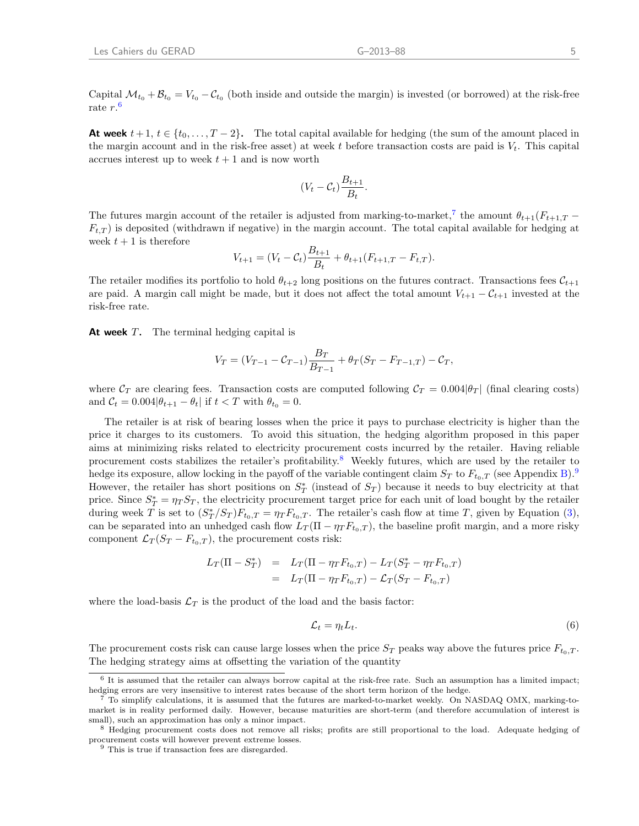Capital  $\mathcal{M}_{t_0} + \mathcal{B}_{t_0} = V_{t_0} - \mathcal{C}_{t_0}$  (both inside and outside the margin) is invested (or borrowed) at the risk-free rate r. [6](#page-9-0)

**At week**  $t + 1$ ,  $t \in \{t_0, \ldots, T-2\}$ . The total capital available for hedging (the sum of the amount placed in the margin account and in the risk-free asset) at week t before transaction costs are paid is  $V_t$ . This capital accrues interest up to week  $t + 1$  and is now worth

$$
(V_t - C_t) \frac{B_{t+1}}{B_t}.
$$

The futures margin account of the retailer is adjusted from marking-to-market,<sup>[7](#page-9-1)</sup> the amount  $\theta_{t+1}(F_{t+1,T}$  $F_{t,T}$ ) is deposited (withdrawn if negative) in the margin account. The total capital available for hedging at week  $t + 1$  is therefore

<span id="page-9-4"></span>
$$
V_{t+1} = (V_t - C_t) \frac{B_{t+1}}{B_t} + \theta_{t+1} (F_{t+1,T} - F_{t,T}).
$$

The retailer modifies its portfolio to hold  $\theta_{t+2}$  long positions on the futures contract. Transactions fees  $C_{t+1}$ are paid. A margin call might be made, but it does not affect the total amount  $V_{t+1} - C_{t+1}$  invested at the risk-free rate.

At week  $T$ . The terminal hedging capital is

$$
V_T = (V_{T-1} - C_{T-1})\frac{B_T}{B_{T-1}} + \theta_T(S_T - F_{T-1,T}) - C_T,
$$

where  $C_T$  are clearing fees. Transaction costs are computed following  $C_T = 0.004|\theta_T|$  (final clearing costs) and  $C_t = 0.004|\theta_{t+1} - \theta_t|$  if  $t < T$  with  $\theta_{t_0} = 0$ .

The retailer is at risk of bearing losses when the price it pays to purchase electricity is higher than the price it charges to its customers. To avoid this situation, the hedging algorithm proposed in this paper aims at minimizing risks related to electricity procurement costs incurred by the retailer. Having reliable procurement costs stabilizes the retailer's profitability.[8](#page-9-2) Weekly futures, which are used by the retailer to hedge its exposure, allow locking in the payoff of the variable contingent claim  $S_T$  to  $F_{t_0,T}$  (see Appendix [B\)](#page-20-0).<sup>[9](#page-9-3)</sup> However, the retailer has short positions on  $S_T^*$  (instead of  $S_T$ ) because it needs to buy electricity at that price. Since  $S_T^* = \eta T S_T$ , the electricity procurement target price for each unit of load bought by the retailer during week T is set to  $(S_T^*/S_T)F_{t_0,T} = \eta_T F_{t_0,T}$ . The retailer's cash flow at time T, given by Equation [\(3\)](#page-7-3), can be separated into an unhedged cash flow  $L_T(\Pi - \eta_T F_{t_0,T})$ , the baseline profit margin, and a more risky component  $\mathcal{L}_T(S_T - F_{t_0,T})$ , the procurement costs risk:

$$
L_T(\Pi - S_T^*) = L_T(\Pi - \eta_T F_{t_0,T}) - L_T(S_T^* - \eta_T F_{t_0,T})
$$
  
= 
$$
L_T(\Pi - \eta_T F_{t_0,T}) - \mathcal{L}_T(S_T - F_{t_0,T})
$$

where the load-basis  $\mathcal{L}_T$  is the product of the load and the basis factor:

$$
\mathcal{L}_t = \eta_t L_t. \tag{6}
$$

The procurement costs risk can cause large losses when the price  $S_T$  peaks way above the futures price  $F_{t_0,T}$ . The hedging strategy aims at offsetting the variation of the quantity

<span id="page-9-0"></span><sup>&</sup>lt;sup>6</sup> It is assumed that the retailer can always borrow capital at the risk-free rate. Such an assumption has a limited impact; hedging errors are very insensitive to interest rates because of the short term horizon of the hedge.

<span id="page-9-1"></span><sup>7</sup> To simplify calculations, it is assumed that the futures are marked-to-market weekly. On NASDAQ OMX, marking-tomarket is in reality performed daily. However, because maturities are short-term (and therefore accumulation of interest is small), such an approximation has only a minor impact.

<span id="page-9-2"></span><sup>8</sup> Hedging procurement costs does not remove all risks; profits are still proportional to the load. Adequate hedging of procurement costs will however prevent extreme losses.

<span id="page-9-3"></span><sup>&</sup>lt;sup>9</sup> This is true if transaction fees are disregarded.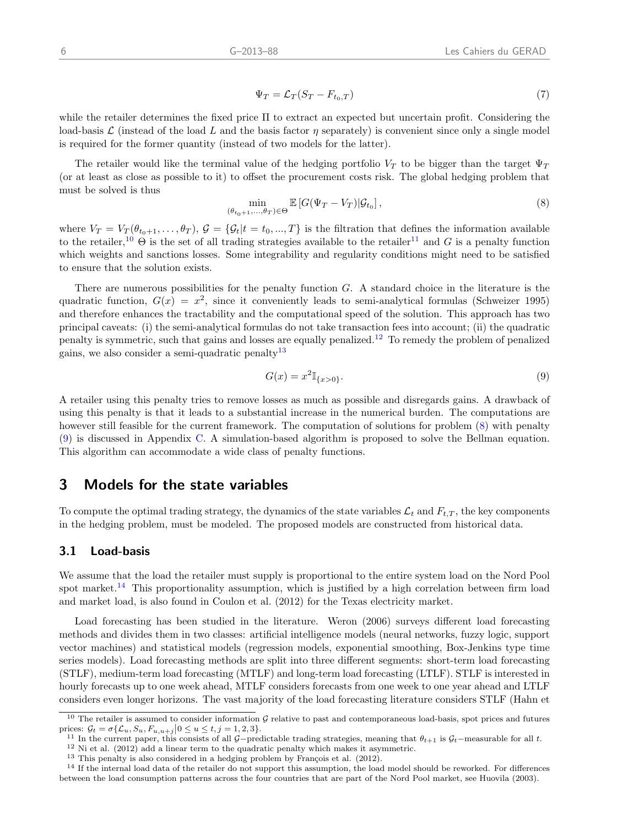$$
\Psi_T = \mathcal{L}_T (S_T - F_{t_0, T}) \tag{7}
$$

while the retailer determines the fixed price Π to extract an expected but uncertain profit. Considering the load-basis  $\mathcal L$  (instead of the load L and the basis factor  $\eta$  separately) is convenient since only a single model is required for the former quantity (instead of two models for the latter).

The retailer would like the terminal value of the hedging portfolio  $V_T$  to be bigger than the target  $\Psi_T$ (or at least as close as possible to it) to offset the procurement costs risk. The global hedging problem that must be solved is thus

<span id="page-10-5"></span>
$$
\min_{\left(\theta_{t_0+1},\ldots,\theta_T\right)\in\Theta} \mathbb{E}\left[G(\Psi_T - V_T)|\mathcal{G}_{t_0}\right],\tag{8}
$$

where  $V_T = V_T(\theta_{t_0+1}, \ldots, \theta_T)$ ,  $\mathcal{G} = {\mathcal{G}_t | t = t_0, ..., T}$  is the filtration that defines the information available to the retailer,<sup>[10](#page-10-1)</sup>  $\Theta$  is the set of all trading strategies available to the retailer<sup>[11](#page-10-2)</sup> and G is a penalty function which weights and sanctions losses. Some integrability and regularity conditions might need to be satisfied to ensure that the solution exists.

There are numerous possibilities for the penalty function G. A standard choice in the literature is the quadratic function,  $G(x) = x^2$ , since it conveniently leads to semi-analytical formulas [\(Schweizer](#page-26-17) [1995\)](#page-26-17) and therefore enhances the tractability and the computational speed of the solution. This approach has two principal caveats: (i) the semi-analytical formulas do not take transaction fees into account; (ii) the quadratic penalty is symmetric, such that gains and losses are equally penalized.[12](#page-10-3) To remedy the problem of penalized gains, we also consider a semi-quadratic penalty<sup>[13](#page-10-4)</sup>

<span id="page-10-6"></span>
$$
G(x) = x^2 1_{\{x>0\}}.\t\t(9)
$$

A retailer using this penalty tries to remove losses as much as possible and disregards gains. A drawback of using this penalty is that it leads to a substantial increase in the numerical burden. The computations are however still feasible for the current framework. The computation of solutions for problem  $(8)$  with penalty [\(9\)](#page-10-6) is discussed in Appendix [C.](#page-20-1) A simulation-based algorithm is proposed to solve the Bellman equation. This algorithm can accommodate a wide class of penalty functions.

# <span id="page-10-0"></span>3 Models for the state variables

To compute the optimal trading strategy, the dynamics of the state variables  $\mathcal{L}_t$  and  $F_{t,T}$ , the key components in the hedging problem, must be modeled. The proposed models are constructed from historical data.

### 3.1 Load-basis

We assume that the load the retailer must supply is proportional to the entire system load on the Nord Pool spot market.<sup>[14](#page-10-7)</sup> This proportionality assumption, which is justified by a high correlation between firm load and market load, is also found in [Coulon et al.](#page-25-6) [\(2012\)](#page-25-6) for the Texas electricity market.

Load forecasting has been studied in the literature. [Weron](#page-26-21) [\(2006\)](#page-26-21) surveys different load forecasting methods and divides them in two classes: artificial intelligence models (neural networks, fuzzy logic, support vector machines) and statistical models (regression models, exponential smoothing, Box-Jenkins type time series models). Load forecasting methods are split into three different segments: short-term load forecasting (STLF), medium-term load forecasting (MTLF) and long-term load forecasting (LTLF). STLF is interested in hourly forecasts up to one week ahead, MTLF considers forecasts from one week to one year ahead and LTLF considers even longer horizons. The vast majority of the load forecasting literature considers STLF [\(Hahn et](#page-26-22)

<span id="page-10-1"></span><sup>&</sup>lt;sup>10</sup> The retailer is assumed to consider information  $G$  [relative to past and contemporaneous load-basis, spot prices and futures](#page-26-22) [prices:](#page-26-22)  $\mathcal{G}_t = \sigma\{\mathcal{L}_u, S_u, F_{u,u+j} | 0 \le u \le t, j = 1, 2, 3\}.$ 

<span id="page-10-2"></span><sup>&</sup>lt;sup>11</sup> In the current paper, this consists of all G−[predictable trading strategies, meaning that](#page-26-22)  $\theta_{t+1}$  is  $\mathcal{G}_t$ -measurable for all t.

<span id="page-10-4"></span><span id="page-10-3"></span> $12$  [Ni et al. \(2012\) add a linear term to the quadratic penalty which makes it asymmetric.](#page-26-22)  $13$  This penalty is also considered in a hedging problem by François et al. (2012).

<span id="page-10-7"></span><sup>&</sup>lt;sup>14</sup> [If the internal load data of the retailer do not support this assumption, the load model should be reworked. For differences](#page-26-22)

[between the load consumption patterns across the four countries that are part of the Nord Pool market, see Huovila \(2003\).](#page-26-22)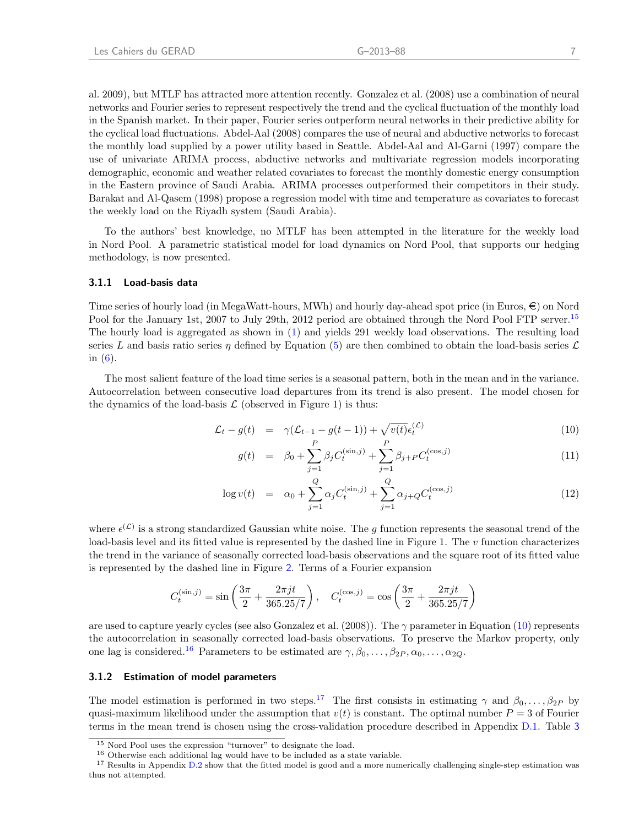[al.](#page-26-22) [2009\)](#page-26-22), but MTLF has attracted more attention recently. [Gonzalez et al.](#page-26-23) [\(2008\)](#page-26-23) use a combination of neural networks and Fourier series to represent respectively the trend and the cyclical fluctuation of the monthly load in the Spanish market. In their paper, Fourier series outperform neural networks in their predictive ability for the cyclical load fluctuations. [Abdel-Aal](#page-25-7) [\(2008\)](#page-25-7) compares the use of neural and abductive networks to forecast the monthly load supplied by a power utility based in Seattle. [Abdel-Aal and Al-Garni](#page-25-8) [\(1997\)](#page-25-8) compare the use of univariate ARIMA process, abductive networks and multivariate regression models incorporating demographic, economic and weather related covariates to forecast the monthly domestic energy consumption in the Eastern province of Saudi Arabia. ARIMA processes outperformed their competitors in their study. [Barakat and Al-Qasem](#page-25-9) [\(1998\)](#page-25-9) propose a regression model with time and temperature as covariates to forecast the weekly load on the Riyadh system (Saudi Arabia).

To the authors' best knowledge, no MTLF has been attempted in the literature for the weekly load in Nord Pool. A parametric statistical model for load dynamics on Nord Pool, that supports our hedging methodology, is now presented.

#### 3.1.1 Load-basis data

Time series of hourly load (in MegaWatt-hours, MWh) and hourly day-ahead spot price (in Euros,  $\epsilon$ ) on Nord Pool for the January 1st, 2007 to July 29th, 2012 period are obtained through the Nord Pool FTP server.<sup>[15](#page-11-0)</sup> The hourly load is aggregated as shown in [\(1\)](#page-7-4) and yields 291 weekly load observations. The resulting load series L and basis ratio series  $\eta$  defined by Equation [\(5\)](#page-8-5) are then combined to obtain the load-basis series  $\mathcal L$ in  $(6)$ .

The most salient feature of the load time series is a seasonal pattern, both in the mean and in the variance. Autocorrelation between consecutive load departures from its trend is also present. The model chosen for the dynamics of the load-basis  $\mathcal L$  (observed in Figure 1) is thus:

<span id="page-11-1"></span>
$$
\mathcal{L}_t - g(t) = \gamma (\mathcal{L}_{t-1} - g(t-1)) + \sqrt{v(t)} \epsilon_t^{(\mathcal{L})}
$$
\n(10)

$$
g(t) = \beta_0 + \sum_{j=1}^{P} \beta_j C_t^{(\sin,j)} + \sum_{j=1}^{P} \beta_{j+P} C_t^{(\cos,j)}
$$
(11)

$$
\log v(t) = \alpha_0 + \sum_{j=1}^{Q} \alpha_j C_t^{(\sin,j)} + \sum_{j=1}^{Q} \alpha_{j+Q} C_t^{(\cos,j)}
$$
(12)

where  $\epsilon^{(\mathcal{L})}$  is a strong standardized Gaussian white noise. The g function represents the seasonal trend of the load-basis level and its fitted value is represented by the dashed line in Figure 1. The  $v$  function characterizes the trend in the variance of seasonally corrected load-basis observations and the square root of its fitted value is represented by the dashed line in Figure [2](#page-13-0). Terms of a Fourier expansion

<span id="page-11-4"></span>
$$
C_t^{(\sin, j)} = \sin\left(\frac{3\pi}{2} + \frac{2\pi jt}{365.25/7}\right), \quad C_t^{(\cos, j)} = \cos\left(\frac{3\pi}{2} + \frac{2\pi jt}{365.25/7}\right)
$$

are used to capture yearly cycles (see also [Gonzalez et al.](#page-26-23) [\(2008\)](#page-26-23)). The  $\gamma$  parameter in Equation [\(10\)](#page-11-1) represents the autocorrelation in seasonally corrected load-basis observations. To preserve the Markov property, only one lag is considered.<sup>[16](#page-11-2)</sup> Parameters to be estimated are  $\gamma, \beta_0, \ldots, \beta_{2P}, \alpha_0, \ldots, \alpha_{2Q}$ .

#### 3.1.2 Estimation of model parameters

The model estimation is performed in two steps.<sup>[17](#page-11-3)</sup> The first consists in estimating  $\gamma$  and  $\beta_0, \ldots, \beta_{2P}$  by quasi-maximum likelihood under the assumption that  $v(t)$  is constant. The optimal number  $P = 3$  of Fourier terms in the mean trend is chosen using the cross-validation procedure described in Appendix [D.1.](#page-22-0) Table [3](#page-12-0)

<span id="page-11-0"></span><sup>15</sup> Nord Pool uses the expression "turnover" to designate the load.

<span id="page-11-3"></span><span id="page-11-2"></span><sup>16</sup> Otherwise each additional lag would have to be included as a state variable.

<sup>&</sup>lt;sup>17</sup> Results in Appendix [D.2](#page-23-0) show that the fitted model is good and a more numerically challenging single-step estimation was thus not attempted.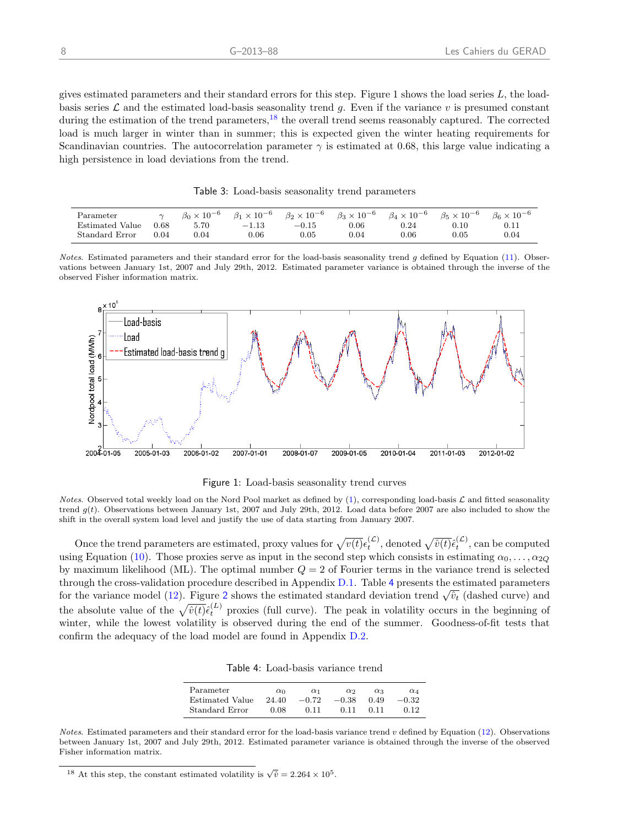gives estimated parameters and their standard errors for this step. Figure 1 shows the load series  $L$ , the loadbasis series  $\mathcal L$  and the estimated load-basis seasonality trend g. Even if the variance v is presumed constant during the estimation of the trend parameters,  $^{18}$  $^{18}$  $^{18}$  the overall trend seems reasonably captured. The corrected load is much larger in winter than in summer; this is expected given the winter heating requirements for Scandinavian countries. The autocorrelation parameter  $\gamma$  is estimated at 0.68, this large value indicating a high persistence in load deviations from the trend.

<span id="page-12-0"></span>Table 3: Load-basis seasonality trend parameters

| Parameter       | $\sim$ | $\beta_0 \times 10^{-6}$ | $\beta_1 \times 10^{-6}$ | $\beta_2 \times 10^{-6}$ | $\beta_3 \times 10^{-6}$ | $\beta_4 \times 10^{-6}$ | $\beta_5 \times 10^{-6}$ | $\beta_6 \times 10^{-6}$ |
|-----------------|--------|--------------------------|--------------------------|--------------------------|--------------------------|--------------------------|--------------------------|--------------------------|
| Estimated Value | 0.68   | 5.70                     | $-1.13$                  | $-0.15$                  | 0.06                     | $0.24\,$                 | $\rm 0.10$               |                          |
| Standard Error  | 0.04   | $0.04\,$                 | 0.06                     | $0.05\,$                 | 0.04                     | $0.06\,$                 | $\rm 0.05$               | 0.04                     |

Notes. Estimated parameters and their standard error for the load-basis seasonality trend  $g$  defined by Equation [\(11\)](#page-11-1). Observations between January 1st, 2007 and July 29th, 2012. Estimated parameter variance is obtained through the inverse of the observed Fisher information matrix.



Figure 1: Load-basis seasonality trend curves

Notes. Observed total weekly load on the Nord Pool market as defined by  $(1)$ , corresponding load-basis  $\mathcal L$  and fitted seasonality trend  $q(t)$ . Observations between January 1st, 2007 and July 29th, 2012. Load data before 2007 are also included to show the shift in the overall system load level and justify the use of data starting from January 2007.

Once the trend parameters are estimated, proxy values for  $\sqrt{v(t)}\epsilon_t^{(\mathcal{L})}$ , denoted  $\sqrt{\hat{v}(t)}\hat{\epsilon}_t^{(\mathcal{L})}$ , can be computed using Equation [\(10\)](#page-11-1). Those proxies serve as input in the second step which consists in estimating  $\alpha_0, \ldots, \alpha_{2Q}$ by maximum likelihood (ML). The optimal number  $Q = 2$  of Fourier terms in the variance trend is selected through the cross-validation procedure described in Appendix [D.1.](#page-22-0) Table [4](#page-12-2) presents the estimated parameters through the cross-vandation procedure described in Appendix D.1. Table 4 presents the estimated parameters for the variance model [\(12\)](#page-11-1). Figure [2](#page-13-0) shows the estimated standard deviation trend  $\sqrt{\hat{v}_t}$  (dashed curve) and the absolute value of the  $\sqrt{\hat{v}(t)}\hat{\epsilon}_{t}^{(L)}$  proxies (full curve). The peak in volatility occurs in the beginning of winter, while the lowest volatility is observed during the end of the summer. Goodness-of-fit tests that confirm the adequacy of the load model are found in Appendix [D.2.](#page-23-0)

<span id="page-12-2"></span>

| Table 4: Load-basis variance trend |  |  |
|------------------------------------|--|--|
|------------------------------------|--|--|

| Parameter       | $\alpha_0$ | $\alpha_1$ | $\alpha$ | $\alpha$ <sup>3</sup> | $\alpha_4$ |
|-----------------|------------|------------|----------|-----------------------|------------|
| Estimated Value | 24.40      | $-0.72$    | $-0.38$  | 0.49                  | $-0.32$    |
| Standard Error  | 0.08       | 0.11       | 0.11     | 0.11                  | 0.12       |

Notes. Estimated parameters and their standard error for the load-basis variance trend  $v$  defined by Equation [\(12\)](#page-11-1). Observations between January 1st, 2007 and July 29th, 2012. Estimated parameter variance is obtained through the inverse of the observed Fisher information matrix.

<span id="page-12-1"></span><sup>&</sup>lt;sup>18</sup> At this step, the constant estimated volatility is  $\sqrt{\hat{v}} = 2.264 \times 10^5$ .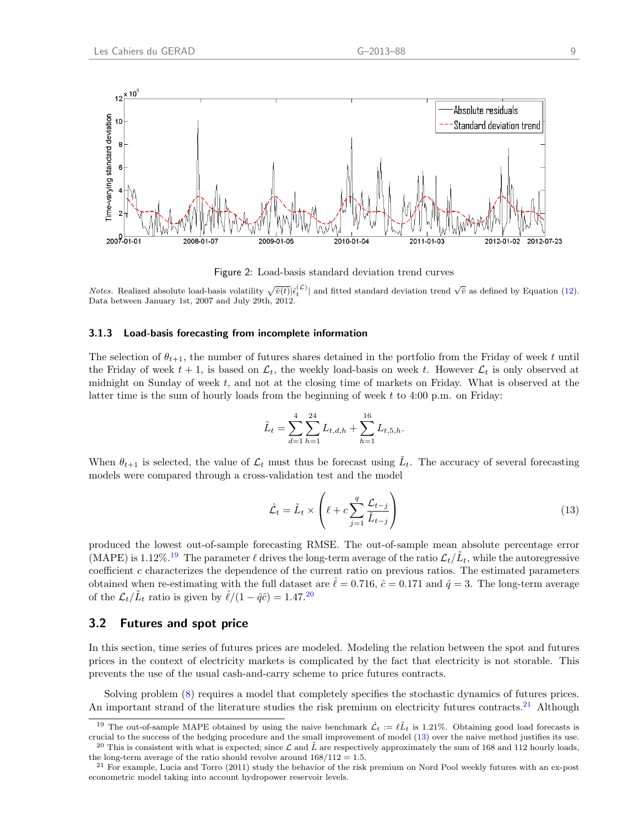

<span id="page-13-0"></span>Figure 2: Load-basis standard deviation trend curves

*Notes.* Realized absolute load-basis volatility  $\sqrt{\hat{v}(t)}|\hat{\epsilon}_t^{(\mathcal{L})}|$  and fitted standard deviation trend  $\sqrt{\hat{v}}$  as defined by Equation [\(12\)](#page-11-1). Data between January 1st, 2007 and July 29th, 2012.

#### 3.1.3 Load-basis forecasting from incomplete information

The selection of  $\theta_{t+1}$ , the number of futures shares detained in the portfolio from the Friday of week t until the Friday of week  $t + 1$ , is based on  $\mathcal{L}_t$ , the weekly load-basis on week t. However  $\mathcal{L}_t$  is only observed at midnight on Sunday of week  $t$ , and not at the closing time of markets on Friday. What is observed at the latter time is the sum of hourly loads from the beginning of week  $t$  to 4:00 p.m. on Friday:

$$
\tilde{L}_t = \sum_{d=1}^4 \sum_{h=1}^{24} L_{t,d,h} + \sum_{h=1}^{16} L_{t,5,h}.
$$

When  $\theta_{t+1}$  is selected, the value of  $\mathcal{L}_t$  must thus be forecast using  $\tilde{L}_t$ . The accuracy of several forecasting models were compared through a cross-validation test and the model

$$
\hat{\mathcal{L}}_t = \tilde{L}_t \times \left( \ell + c \sum_{j=1}^q \frac{\mathcal{L}_{t-j}}{\tilde{L}_{t-j}} \right) \tag{13}
$$

produced the lowest out-of-sample forecasting RMSE. The out-of-sample mean absolute percentage error (MAPE) is 1.12%.<sup>[19](#page-13-1)</sup> The parameter  $\ell$  drives the long-term average of the ratio  $\mathcal{L}_t/\tilde{L}_t$ , while the autoregressive coefficient c characterizes the dependence of the current ratio on previous ratios. The estimated parameters obtained when re-estimating with the full dataset are  $\hat{\ell} = 0.716$ ,  $\hat{c} = 0.171$  and  $\hat{q} = 3$ . The long-term average of the  $\mathcal{L}_t/\tilde{L}_t$  ratio is given by  $\hat{\ell}/(1 - \hat{q}\hat{c}) = 1.47$ <sup>[20](#page-13-2)</sup>

### 3.2 Futures and spot price

In this section, time series of futures prices are modeled. Modeling the relation between the spot and futures prices in the context of electricity markets is complicated by the fact that electricity is not storable. This prevents the use of the usual cash-and-carry scheme to price futures contracts.

Solving problem [\(8\)](#page-10-5) requires a model that completely specifies the stochastic dynamics of futures prices. An important strand of the literature studies the risk premium on electricity futures contracts.<sup>[21](#page-13-3)</sup> Although

<span id="page-13-1"></span><sup>&</sup>lt;sup>19</sup> The out-of-sample MAPE obtained by using the naive benchmark  $\mathcal{L}_t := \ell \tilde{L}_t$  is 1.21%. Obtaining good load forecasts is crucial to the success of the hedging procedure and the small improvement of model [\(13\)](#page-11-4) over the naive method justifies its use. <sup>20</sup> This is consistent with what is expected; since  $\mathcal L$  and  $\tilde L$  are respectively approximately the sum of 168 and 112 hourly loads,

<span id="page-13-2"></span>the long-term average of the ratio should revolve around  $168/112 = 1.5$ .

<span id="page-13-3"></span> $21$  For example, [Lucia and Torro](#page-26-24) [\(2011\)](#page-26-24) study the behavior of the risk premium on Nord Pool weekly futures with an ex-post econometric model taking into account hydropower reservoir levels.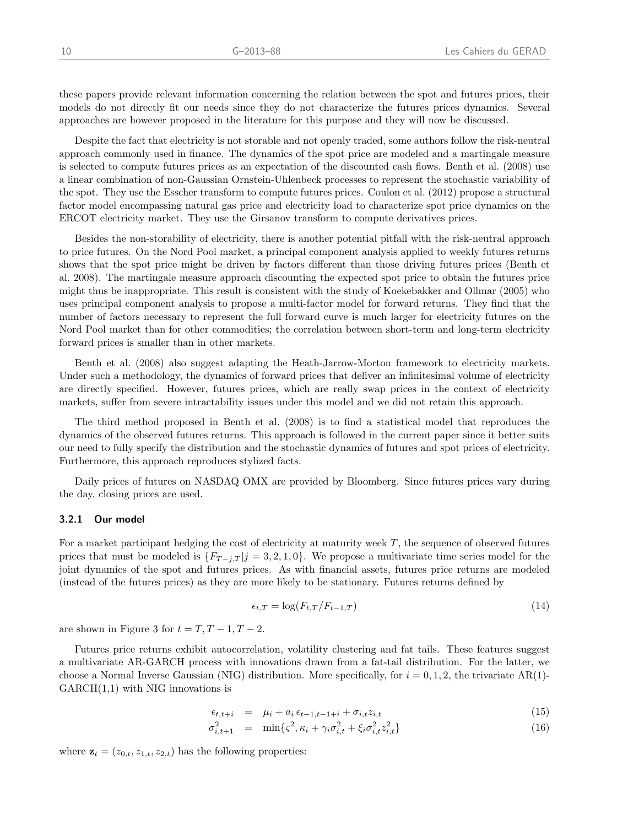these papers provide relevant information concerning the relation between the spot and futures prices, their models do not directly fit our needs since they do not characterize the futures prices dynamics. Several approaches are however proposed in the literature for this purpose and they will now be discussed.

Despite the fact that electricity is not storable and not openly traded, some authors follow the risk-neutral approach commonly used in finance. The dynamics of the spot price are modeled and a martingale measure is selected to compute futures prices as an expectation of the discounted cash flows. [Benth et al.](#page-25-10) [\(2008\)](#page-25-10) use a linear combination of non-Gaussian Ornstein-Uhlenbeck processes to represent the stochastic variability of the spot. They use the Esscher transform to compute futures prices. [Coulon et al.](#page-25-6) [\(2012\)](#page-25-6) propose a structural factor model encompassing natural gas price and electricity load to characterize spot price dynamics on the ERCOT electricity market. They use the Girsanov transform to compute derivatives prices.

Besides the non-storability of electricity, there is another potential pitfall with the risk-neutral approach to price futures. On the Nord Pool market, a principal component analysis applied to weekly futures returns shows that the spot price might be driven by factors different than those driving futures prices [\(Benth et](#page-25-10) [al.](#page-25-10) [2008\)](#page-25-10). The martingale measure approach discounting the expected spot price to obtain the futures price might thus be inappropriate. This result is consistent with the study of [Koekebakker and Ollmar](#page-26-25) [\(2005\)](#page-26-25) who uses principal component analysis to propose a multi-factor model for forward returns. They find that the number of factors necessary to represent the full forward curve is much larger for electricity futures on the Nord Pool market than for other commodities; the correlation between short-term and long-term electricity forward prices is smaller than in other markets.

[Benth et al.](#page-25-10) [\(2008\)](#page-25-10) also suggest adapting the Heath-Jarrow-Morton framework to electricity markets. Under such a methodology, the dynamics of forward prices that deliver an infinitesimal volume of electricity are directly specified. However, futures prices, which are really swap prices in the context of electricity markets, suffer from severe intractability issues under this model and we did not retain this approach.

The third method proposed in [Benth et al.](#page-25-10) [\(2008\)](#page-25-10) is to find a statistical model that reproduces the dynamics of the observed futures returns. This approach is followed in the current paper since it better suits our need to fully specify the distribution and the stochastic dynamics of futures and spot prices of electricity. Furthermore, this approach reproduces stylized facts.

Daily prices of futures on NASDAQ OMX are provided by Bloomberg. Since futures prices vary during the day, closing prices are used.

#### 3.2.1 Our model

For a market participant hedging the cost of electricity at maturity week T, the sequence of observed futures prices that must be modeled is  $\{F_{T-i,T} | j = 3, 2, 1, 0\}$ . We propose a multivariate time series model for the joint dynamics of the spot and futures prices. As with financial assets, futures price returns are modeled (instead of the futures prices) as they are more likely to be stationary. Futures returns defined by

<span id="page-14-0"></span>
$$
\epsilon_{t,T} = \log(F_{t,T}/F_{t-1,T})\tag{14}
$$

are shown in Figure 3 for  $t = T, T - 1, T - 2$ .

Futures price returns exhibit autocorrelation, volatility clustering and fat tails. These features suggest a multivariate AR-GARCH process with innovations drawn from a fat-tail distribution. For the latter, we choose a Normal Inverse Gaussian (NIG) distribution. More specifically, for  $i = 0, 1, 2$ , the trivariate AR(1)- $GARCH(1,1)$  with NIG innovations is

$$
\epsilon_{t,t+i} = \mu_i + a_i \epsilon_{t-1,t-1+i} + \sigma_{i,t} z_{i,t} \tag{15}
$$

<span id="page-14-1"></span>
$$
\sigma_{i,t+1}^2 = \min\{\varsigma^2, \kappa_i + \gamma_i \sigma_{i,t}^2 + \xi_i \sigma_{i,t}^2 z_{i,t}^2\} \tag{16}
$$

where  $\mathbf{z}_t = (z_{0,t}, z_{1,t}, z_{2,t})$  has the following properties: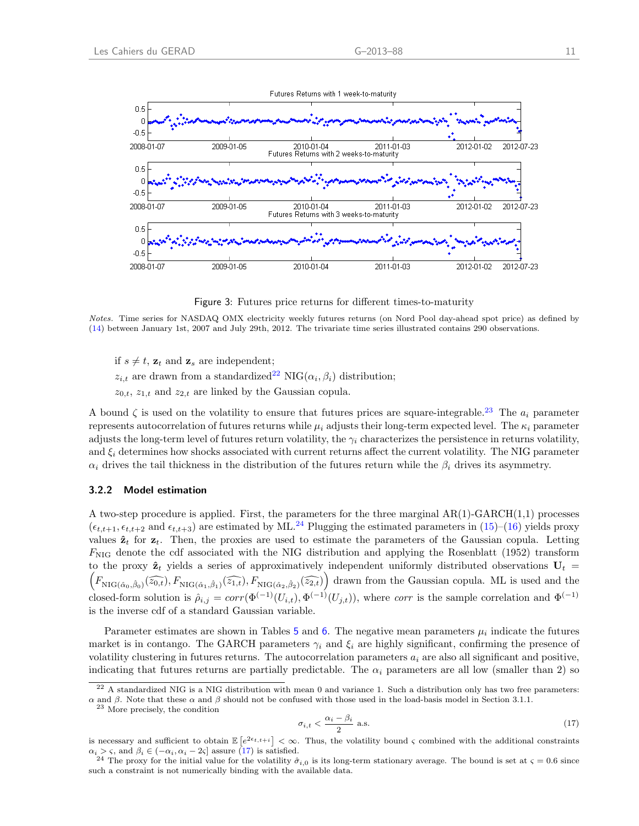

Figure 3: Futures price returns for different times-to-maturity

Notes. Time series for NASDAQ OMX electricity weekly futures returns (on Nord Pool day-ahead spot price) as defined by [\(14\)](#page-14-0) between January 1st, 2007 and July 29th, 2012. The trivariate time series illustrated contains 290 observations.

if  $s \neq t$ ,  $\mathbf{z}_t$  and  $\mathbf{z}_s$  are independent;  $z_{i,t}$  are drawn from a standardized<sup>[22](#page-15-0)</sup> NIG( $\alpha_i, \beta_i$ ) distribution;  $z_{0,t}$ ,  $z_{1,t}$  and  $z_{2,t}$  are linked by the Gaussian copula.

A bound  $\zeta$  is used on the volatility to ensure that futures prices are square-integrable.<sup>[23](#page-15-1)</sup> The  $a_i$  parameter represents autocorrelation of futures returns while  $\mu_i$  adjusts their long-term expected level. The  $\kappa_i$  parameter adjusts the long-term level of futures return volatility, the  $\gamma_i$  characterizes the persistence in returns volatility, and  $\xi_i$  determines how shocks associated with current returns affect the current volatility. The NIG parameter  $\alpha_i$  drives the tail thickness in the distribution of the futures return while the  $\beta_i$  drives its asymmetry.

#### 3.2.2 Model estimation

A two-step procedure is applied. First, the parameters for the three marginal AR(1)-GARCH(1,1) processes  $(\epsilon_{t,t+1}, \epsilon_{t,t+2} \text{ and } \epsilon_{t,t+3})$  are estimated by ML.<sup>[24](#page-15-2)</sup> Plugging the estimated parameters in [\(15\)](#page-14-1)–[\(16\)](#page-14-1) yields proxy values  $\hat{\mathbf{z}}_t$  for  $\mathbf{z}_t$ . Then, the proxies are used to estimate the parameters of the Gaussian copula. Letting  $F_{\text{NIG}}$  denote the cdf associated with the NIG distribution and applying the [Rosenblatt](#page-26-26) [\(1952\)](#page-26-26) transform  $(F_{\text{NIG}(\hat{\alpha}_0, \hat{\beta}_0)}(\widehat{z_{0,t}}), F_{\text{NIG}(\hat{\alpha}_1, \hat{\beta}_1)}(\widehat{z_{1,t}}), F_{\text{NIG}(\hat{\alpha}_2, \hat{\beta}_2)}(\widehat{z_{2,t}})\right)$  drawn from the Gaussian copula. ML is used and the to the proxy  $\hat{\mathbf{z}}_t$  yields a series of approximatively independent uniformly distributed observations  $\mathbf{U}_t$  = closed-form solution is  $\hat{\rho}_{i,j} = corr(\Phi^{(-1)}(U_{i,t}), \Phi^{(-1)}(U_{j,t}))$ , where corr is the sample correlation and  $\Phi^{(-1)}$ is the inverse cdf of a standard Gaussian variable.

Parameter estimates are shown in Tables  $5$  and  $6$ . The negative mean parameters  $\mu_i$  indicate the futures market is in contango. The GARCH parameters  $\gamma_i$  and  $\xi_i$  are highly significant, confirming the presence of volatility clustering in futures returns. The autocorrelation parameters  $a_i$  are also all significant and positive, indicating that futures returns are partially predictable. The  $\alpha_i$  parameters are all low (smaller than 2) so

<span id="page-15-1"></span><sup>23</sup> More precisely, the condition

<span id="page-15-3"></span>
$$
\sigma_{i,t} < \frac{\alpha_i - \beta_i}{2} \text{ a.s.} \tag{17}
$$

<span id="page-15-0"></span> $^{22}$  A standardized NIG is a NIG distribution with mean 0 and variance 1. Such a distribution only has two free parameters: α and β. Note that these α and β should not be confused with those used in the load-basis model in Section 3.1.1.

is necessary and sufficient to obtain  $\mathbb{E}\left[e^{2\epsilon_t,t+i}\right]<\infty$ . Thus, the volatility bound  $\varsigma$  combined with the additional constraints  $\alpha_i > \varsigma$ , and  $\beta_i \in (-\alpha_i, \alpha_i - 2\varsigma]$  assure [\(17\)](#page-15-3) is satisfied.

<span id="page-15-2"></span><sup>&</sup>lt;sup>24</sup> The proxy for the initial value for the volatility  $\hat{\sigma}_{i,0}$  is its long-term stationary average. The bound is set at  $\varsigma = 0.6$  since such a constraint is not numerically binding with the available data.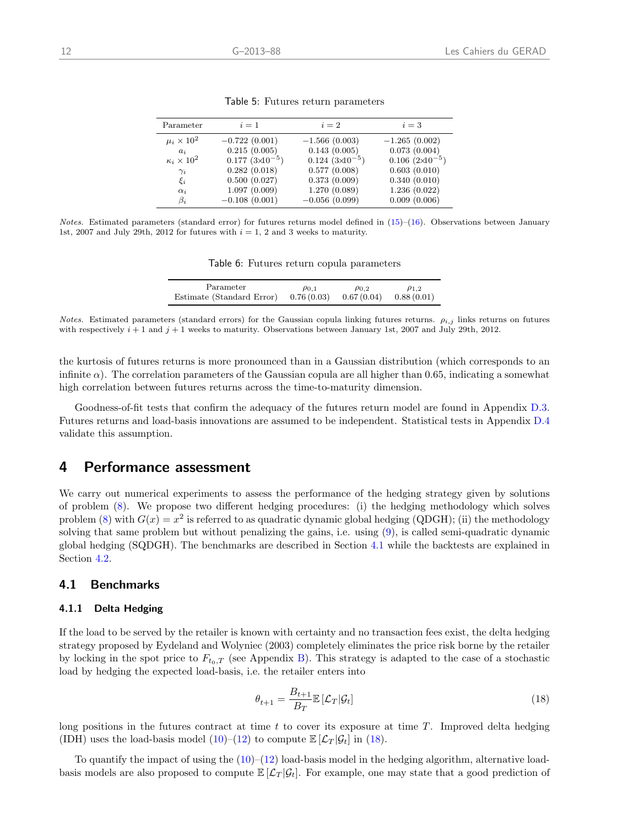| Parameter              | $i=1$                      | $i=2$                      | $i=3$                    |
|------------------------|----------------------------|----------------------------|--------------------------|
| $\mu_i \times 10^2$    | $-0.722(0.001)$            | $-1.566(0.003)$            | $-1.265(0.002)$          |
| $a_i$                  | 0.215(0.005)               | 0.143(0.005)               | 0.073(0.004)             |
| $\kappa_i \times 10^2$ | $0.177~(3 \times 10^{-5})$ | $0.124~(3 \times 10^{-5})$ | $0.106~(2\times10^{-5})$ |
| $\gamma_i$             | 0.282(0.018)               | 0.577(0.008)               | 0.603(0.010)             |
| $\xi_i$                | 0.500(0.027)               | 0.373(0.009)               | 0.340(0.010)             |
| $\alpha_i$             | 1.097(0.009)               | 1.270(0.089)               | 1.236(0.022)             |
| $\beta_i$              | $-0.108(0.001)$            | $-0.056(0.099)$            | 0.009(0.006)             |
|                        |                            |                            |                          |

<span id="page-16-1"></span>Table 5: Futures return parameters

Notes. Estimated parameters (standard error) for futures returns model defined in  $(15)$ – $(16)$ . Observations between January 1st, 2007 and July 29th, 2012 for futures with  $i = 1, 2$  and 3 weeks to maturity.

<span id="page-16-2"></span>Table 6: Futures return copula parameters

| Parameter                              | $\rho_{0.1}$ | $\rho_{0.2}$              | $\rho_{1,2}$ |
|----------------------------------------|--------------|---------------------------|--------------|
| Estimate (Standard Error) $0.76(0.03)$ |              | $0.67(0.04)$ $0.88(0.01)$ |              |

Notes. Estimated parameters (standard errors) for the Gaussian copula linking futures returns.  $\rho_{i,j}$  links returns on futures with respectively  $i + 1$  and  $j + 1$  weeks to maturity. Observations between January 1st, 2007 and July 29th, 2012.

the kurtosis of futures returns is more pronounced than in a Gaussian distribution (which corresponds to an infinite  $\alpha$ ). The correlation parameters of the Gaussian copula are all higher than 0.65, indicating a somewhat high correlation between futures returns across the time-to-maturity dimension.

Goodness-of-fit tests that confirm the adequacy of the futures return model are found in Appendix [D.3.](#page-24-0) Futures returns and load-basis innovations are assumed to be independent. Statistical tests in Appendix [D.4](#page-25-11) validate this assumption.

# <span id="page-16-0"></span>4 Performance assessment

We carry out numerical experiments to assess the performance of the hedging strategy given by solutions of problem [\(8\)](#page-10-5). We propose two different hedging procedures: (i) the hedging methodology which solves problem [\(8\)](#page-10-5) with  $G(x) = x^2$  is referred to as quadratic dynamic global hedging (QDGH); (ii) the methodology solving that same problem but without penalizing the gains, i.e. using [\(9\)](#page-10-6), is called semi-quadratic dynamic global hedging (SQDGH). The benchmarks are described in Section [4.1](#page-16-3) while the backtests are explained in Section [4.2.](#page-17-0)

### <span id="page-16-3"></span>4.1 Benchmarks

#### 4.1.1 Delta Hedging

If the load to be served by the retailer is known with certainty and no transaction fees exist, the delta hedging strategy proposed by [Eydeland and Wolyniec](#page-25-5) [\(2003\)](#page-25-5) completely eliminates the price risk borne by the retailer by locking in the spot price to  $F_{t_0,T}$  (see Appendix [B\)](#page-20-0). This strategy is adapted to the case of a stochastic load by hedging the expected load-basis, i.e. the retailer enters into

<span id="page-16-4"></span>
$$
\theta_{t+1} = \frac{B_{t+1}}{B_T} \mathbb{E}\left[\mathcal{L}_T|\mathcal{G}_t\right]
$$
\n(18)

long positions in the futures contract at time  $t$  to cover its exposure at time  $T$ . Improved delta hedging (IDH) uses the load-basis model [\(10\)](#page-11-1)–[\(12\)](#page-11-1) to compute  $\mathbb{E}[\mathcal{L}_T | \mathcal{G}_t]$  in [\(18\)](#page-16-4).

To quantify the impact of using the  $(10)–(12)$  $(10)–(12)$  $(10)–(12)$  load-basis model in the hedging algorithm, alternative loadbasis models are also proposed to compute  $\mathbb{E}[\mathcal{L}_T | \mathcal{G}_t].$  For example, one may state that a good prediction of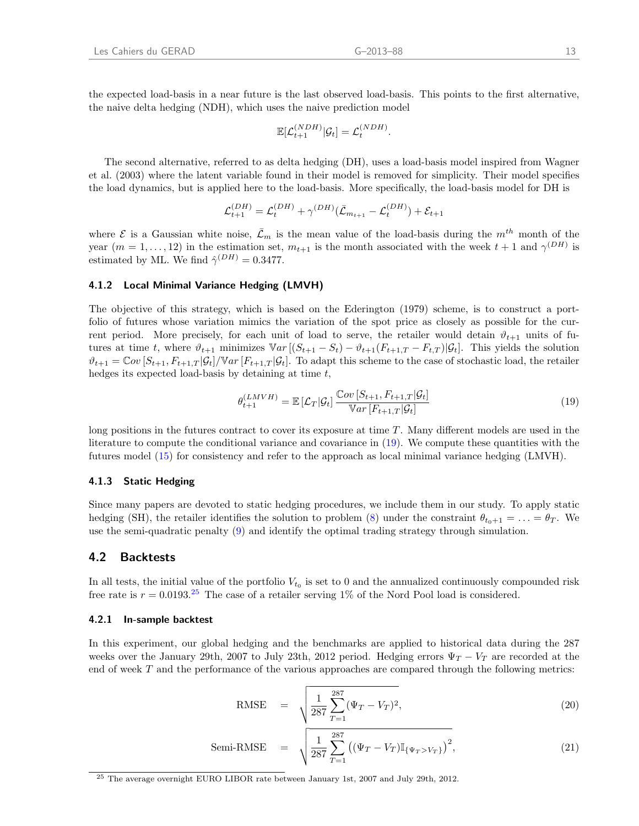the expected load-basis in a near future is the last observed load-basis. This points to the first alternative, the naive delta hedging (NDH), which uses the naive prediction model

<span id="page-17-1"></span>
$$
\mathbb{E}[\mathcal{L}_{t+1}^{(NDH)}|\mathcal{G}_t] = \mathcal{L}_t^{(NDH)}.
$$

The second alternative, referred to as delta hedging (DH), uses a load-basis model inspired from [Wagner](#page-26-6) [et al.](#page-26-6) [\(2003\)](#page-26-6) where the latent variable found in their model is removed for simplicity. Their model specifies the load dynamics, but is applied here to the load-basis. More specifically, the load-basis model for DH is

$$
\mathcal{L}_{t+1}^{(DH)} = \mathcal{L}_{t}^{(DH)} + \gamma^{(DH)}(\bar{\mathcal{L}}_{m_{t+1}} - \mathcal{L}_{t}^{(DH)}) + \mathcal{E}_{t+1}
$$

where  $\mathcal E$  is a Gaussian white noise,  $\bar{\mathcal L}_m$  is the mean value of the load-basis during the  $m^{th}$  month of the year  $(m = 1, \ldots, 12)$  in the estimation set,  $m_{t+1}$  is the month associated with the week  $t+1$  and  $\gamma^{(DH)}$  is estimated by ML. We find  $\hat{\gamma}^{(DH)} = 0.3477$ .

#### 4.1.2 Local Minimal Variance Hedging (LMVH)

The objective of this strategy, which is based on the [Ederington](#page-25-3) [\(1979\)](#page-25-3) scheme, is to construct a portfolio of futures whose variation mimics the variation of the spot price as closely as possible for the current period. More precisely, for each unit of load to serve, the retailer would detain  $\vartheta_{t+1}$  units of futures at time t, where  $\vartheta_{t+1}$  minimizes  $\mathbb{V}ar \left[ (S_{t+1} - S_t) - \vartheta_{t+1}(F_{t+1,T} - F_{t,T}) | \mathcal{G}_t \right]$ . This yields the solution  $\vartheta_{t+1} = \mathbb{C}ov[S_{t+1}, F_{t+1,T}|\mathcal{G}_t] / \mathbb{V}ar[F_{t+1,T}|\mathcal{G}_t]$ . To adapt this scheme to the case of stochastic load, the retailer hedges its expected load-basis by detaining at time t,

$$
\theta_{t+1}^{(LMVH)} = \mathbb{E}\left[\mathcal{L}_T|\mathcal{G}_t\right] \frac{\mathbb{C}ov\left[S_{t+1}, F_{t+1,T}|\mathcal{G}_t\right]}{\mathbb{V}ar\left[F_{t+1,T}|\mathcal{G}_t\right]}
$$
\n(19)

long positions in the futures contract to cover its exposure at time T. Many different models are used in the literature to compute the conditional variance and covariance in [\(19\)](#page-17-1). We compute these quantities with the futures model [\(15\)](#page-14-1) for consistency and refer to the approach as local minimal variance hedging (LMVH).

#### 4.1.3 Static Hedging

Since many papers are devoted to static hedging procedures, we include them in our study. To apply static hedging (SH), the retailer identifies the solution to problem [\(8\)](#page-10-5) under the constraint  $\theta_{t_0+1} = \ldots = \theta_T$ . We use the semi-quadratic penalty [\(9\)](#page-10-6) and identify the optimal trading strategy through simulation.

### <span id="page-17-0"></span>4.2 Backtests

In all tests, the initial value of the portfolio  $V_{t_0}$  is set to 0 and the annualized continuously compounded risk free rate is  $r = 0.0193^{25}$  $r = 0.0193^{25}$  $r = 0.0193^{25}$  The case of a retailer serving 1% of the Nord Pool load is considered.

#### 4.2.1 In-sample backtest

In this experiment, our global hedging and the benchmarks are applied to historical data during the 287 weeks over the January 29th, 2007 to July 23th, 2012 period. Hedging errors  $\Psi_T - V_T$  are recorded at the end of week  $T$  and the performance of the various approaches are compared through the following metrics:

<span id="page-17-3"></span>RMSE = 
$$
\sqrt{\frac{1}{287} \sum_{T=1}^{287} (\Psi_T - V_T)^2},
$$
 (20)

Semi-RMSE = 
$$
\sqrt{\frac{1}{287} \sum_{T=1}^{287} ((\Psi_T - V_T) \mathbb{I}_{\{\Psi_T > V_T\}})^2},
$$
 (21)

<span id="page-17-2"></span><sup>25</sup> The average overnight EURO LIBOR rate between January 1st, 2007 and July 29th, 2012.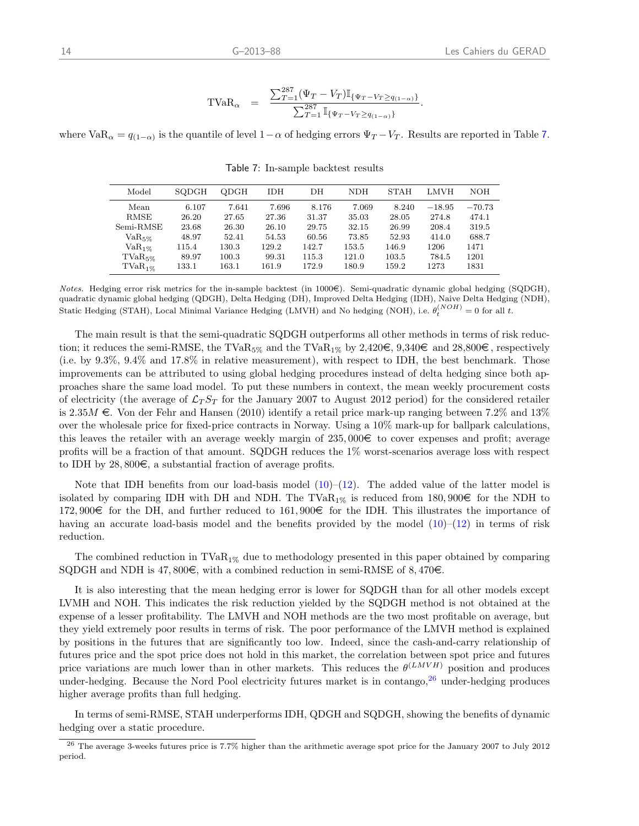$$
\text{TVaR}_{\alpha} = \frac{\sum_{T=1}^{287} (\Psi_T - V_T) \mathbb{I}_{\{\Psi_T - V_T \geq q_{(1-\alpha)}\}}}{\sum_{T=1}^{287} \mathbb{I}_{\{\Psi_T - V_T \geq q_{(1-\alpha)}\}}}.
$$

where  $VaR_{\alpha} = q_{(1-\alpha)}$  is the quantile of level  $1-\alpha$  of hedging errors  $\Psi_T - V_T$ . Results are reported in Table [7](#page-18-0).

| Model        | SQDGH | <b>ODGH</b> | IDH   | DН    | NDH   | <b>STAH</b> | LMVH     | <b>NOH</b> |
|--------------|-------|-------------|-------|-------|-------|-------------|----------|------------|
| Mean         | 6.107 | 7.641       | 7.696 | 8.176 | 7.069 | 8.240       | $-18.95$ | $-70.73$   |
| RMSE         | 26.20 | 27.65       | 27.36 | 31.37 | 35.03 | 28.05       | 274.8    | 474.1      |
| Semi-RMSE    | 23.68 | 26.30       | 26.10 | 29.75 | 32.15 | 26.99       | 208.4    | 319.5      |
| $VaR_5\%$    | 48.97 | 52.41       | 54.53 | 60.56 | 73.85 | 52.93       | 414.0    | 688.7      |
| $VaR_{1\%}$  | 115.4 | 130.3       | 129.2 | 142.7 | 153.5 | 146.9       | 1206     | 1471       |
| $TVaR_{5\%}$ | 89.97 | 100.3       | 99.31 | 115.3 | 121.0 | 103.5       | 784.5    | 1201       |
| $TVaR_{1\%}$ | 133.1 | 163.1       | 161.9 | 172.9 | 180.9 | 159.2       | 1273     | 1831       |

<span id="page-18-0"></span>Table 7: In-sample backtest results

Notes. Hedging error risk metrics for the in-sample backtest (in  $1000\epsilon$ ). Semi-quadratic dynamic global hedging (SQDGH), quadratic dynamic global hedging (QDGH), Delta Hedging (DH), Improved Delta Hedging (IDH), Naive Delta Hedging (NDH), Static Hedging (STAH), Local Minimal Variance Hedging (LMVH) and No hedging (NOH), i.e.  $\theta_t^{(NOH)} = 0$  for all t.

The main result is that the semi-quadratic SQDGH outperforms all other methods in terms of risk reduction; it reduces the semi-RMSE, the TVa $R_{5\%}$  and the TVa $R_{1\%}$  by 2,420 $\in$ , 9,340 $\in$  and 28,800 $\in$ , respectively (i.e. by 9.3%, 9.4% and 17.8% in relative measurement), with respect to IDH, the best benchmark. Those improvements can be attributed to using global hedging procedures instead of delta hedging since both approaches share the same load model. To put these numbers in context, the mean weekly procurement costs of electricity (the average of  $\mathcal{L}_T S_T$  for the January 2007 to August 2012 period) for the considered retailer is 2.35 M  $\epsilon$ . [Von der Fehr and Hansen](#page-26-0) [\(2010\)](#page-26-0) identify a retail price mark-up ranging between 7.2% and 13% over the wholesale price for fixed-price contracts in Norway. Using a 10% mark-up for ballpark calculations, this leaves the retailer with an average weekly margin of  $235,000\epsilon$  to cover expenses and profit; average profits will be a fraction of that amount. SQDGH reduces the 1% worst-scenarios average loss with respect to IDH by  $28,800\in$ , a substantial fraction of average profits.

Note that IDH benefits from our load-basis model  $(10)$ – $(12)$ . The added value of the latter model is isolated by comparing IDH with DH and NDH. The TVa $R_{1\%}$  is reduced from 180, 900 $\in$  for the NDH to 172, 900 $\in$  for the DH, and further reduced to 161, 900 $\in$  for the IDH. This illustrates the importance of having an accurate load-basis model and the benefits provided by the model  $(10)$ – $(12)$  in terms of risk reduction.

The combined reduction in  $TVaR_{1\%}$  due to methodology presented in this paper obtained by comparing SQDGH and NDH is 47,800 $\in$ , with a combined reduction in semi-RMSE of 8,470 $\in$ .

It is also interesting that the mean hedging error is lower for SQDGH than for all other models except LVMH and NOH. This indicates the risk reduction yielded by the SQDGH method is not obtained at the expense of a lesser profitability. The LMVH and NOH methods are the two most profitable on average, but they yield extremely poor results in terms of risk. The poor performance of the LMVH method is explained by positions in the futures that are significantly too low. Indeed, since the cash-and-carry relationship of futures price and the spot price does not hold in this market, the correlation between spot price and futures price variations are much lower than in other markets. This reduces the  $\theta^{(LMVH)}$  position and produces under-hedging. Because the Nord Pool electricity futures market is in contango,<sup>[26](#page-18-1)</sup> under-hedging produces higher average profits than full hedging.

In terms of semi-RMSE, STAH underperforms IDH, QDGH and SQDGH, showing the benefits of dynamic hedging over a static procedure.

<span id="page-18-1"></span><sup>26</sup> The average 3-weeks futures price is 7.7% higher than the arithmetic average spot price for the January 2007 to July 2012 period.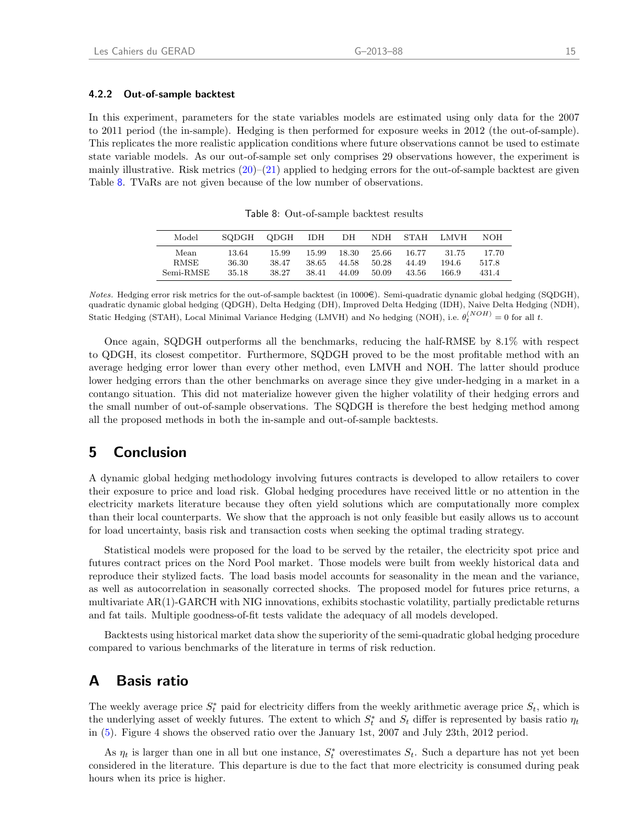#### 4.2.2 Out-of-sample backtest

In this experiment, parameters for the state variables models are estimated using only data for the 2007 to 2011 period (the in-sample). Hedging is then performed for exposure weeks in 2012 (the out-of-sample). This replicates the more realistic application conditions where future observations cannot be used to estimate state variable models. As our out-of-sample set only comprises 29 observations however, the experiment is mainly illustrative. Risk metrics  $(20)$ – $(21)$  applied to hedging errors for the out-of-sample backtest are given Table [8](#page-19-2). TVaRs are not given because of the low number of observations.

| Model       | SODGH | ODGH  | IDH   | DН    | NDH.  | <b>STAH</b> | LMVH  | NOH   |
|-------------|-------|-------|-------|-------|-------|-------------|-------|-------|
| Mean        | 13.64 | 15.99 | 15.99 | 18.30 | 25.66 | 16.77       | 31.75 | 17.70 |
| <b>RMSE</b> | 36.30 | 38.47 | 38.65 | 44.58 | 50.28 | 44.49       | 194.6 | 517.8 |
| Semi-RMSE   | 35.18 | 38.27 | 38.41 | 44.09 | 50.09 | 43.56       | 166.9 | 431.4 |

<span id="page-19-2"></span>Table 8: Out-of-sample backtest results

Once again, SQDGH outperforms all the benchmarks, reducing the half-RMSE by 8.1% with respect to QDGH, its closest competitor. Furthermore, SQDGH proved to be the most profitable method with an average hedging error lower than every other method, even LMVH and NOH. The latter should produce lower hedging errors than the other benchmarks on average since they give under-hedging in a market in a contango situation. This did not materialize however given the higher volatility of their hedging errors and the small number of out-of-sample observations. The SQDGH is therefore the best hedging method among all the proposed methods in both the in-sample and out-of-sample backtests.

# <span id="page-19-0"></span>5 Conclusion

A dynamic global hedging methodology involving futures contracts is developed to allow retailers to cover their exposure to price and load risk. Global hedging procedures have received little or no attention in the electricity markets literature because they often yield solutions which are computationally more complex than their local counterparts. We show that the approach is not only feasible but easily allows us to account for load uncertainty, basis risk and transaction costs when seeking the optimal trading strategy.

Statistical models were proposed for the load to be served by the retailer, the electricity spot price and futures contract prices on the Nord Pool market. Those models were built from weekly historical data and reproduce their stylized facts. The load basis model accounts for seasonality in the mean and the variance, as well as autocorrelation in seasonally corrected shocks. The proposed model for futures price returns, a multivariate AR(1)-GARCH with NIG innovations, exhibits stochastic volatility, partially predictable returns and fat tails. Multiple goodness-of-fit tests validate the adequacy of all models developed.

Backtests using historical market data show the superiority of the semi-quadratic global hedging procedure compared to various benchmarks of the literature in terms of risk reduction.

# <span id="page-19-1"></span>A Basis ratio

The weekly average price  $S_t^*$  paid for electricity differs from the weekly arithmetic average price  $S_t$ , which is the underlying asset of weekly futures. The extent to which  $S_t^*$  and  $S_t$  differ is represented by basis ratio  $\eta_t$ in [\(5\)](#page-8-5). Figure 4 shows the observed ratio over the January 1st, 2007 and July 23th, 2012 period.

As  $\eta_t$  is larger than one in all but one instance,  $S_t^*$  overestimates  $S_t$ . Such a departure has not yet been considered in the literature. This departure is due to the fact that more electricity is consumed during peak hours when its price is higher.

Notes. Hedging error risk metrics for the out-of-sample backtest (in 1000€). Semi-quadratic dynamic global hedging (SQDGH), quadratic dynamic global hedging (QDGH), Delta Hedging (DH), Improved Delta Hedging (IDH), Naive Delta Hedging (NDH), Static Hedging (STAH), Local Minimal Variance Hedging (LMVH) and No hedging (NOH), i.e.  $\theta_t^{(NOH)} = 0$  for all t.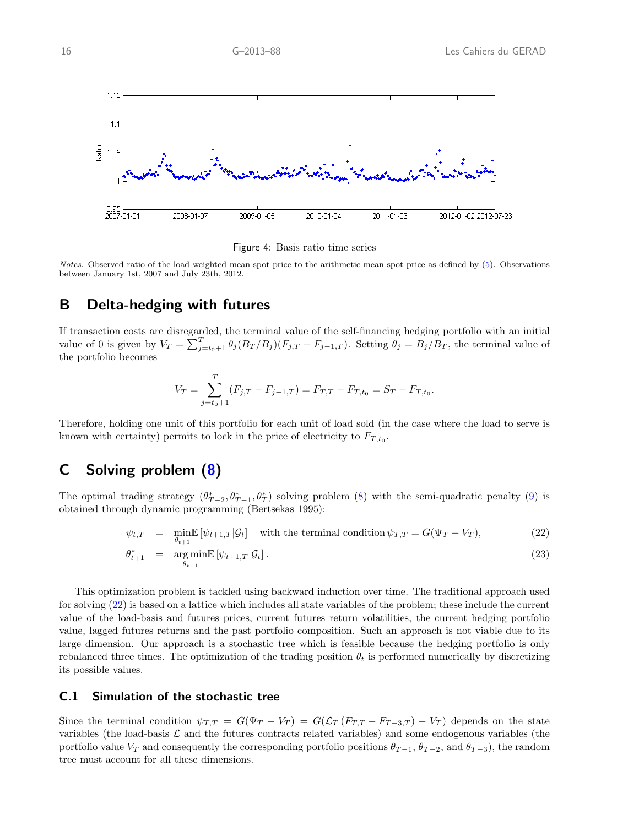

Figure 4: Basis ratio time series

Notes. Observed ratio of the load weighted mean spot price to the arithmetic mean spot price as defined by [\(5\)](#page-8-5). Observations between January 1st, 2007 and July 23th, 2012.

# <span id="page-20-0"></span>B Delta-hedging with futures

If transaction costs are disregarded, the terminal value of the self-financing hedging portfolio with an initial value of 0 is given by  $V_T = \sum_{j=t_0+1}^T \theta_j (B_T/B_j)(F_{j,T} - F_{j-1,T})$ . Setting  $\theta_j = B_j/B_T$ , the terminal value of the portfolio becomes

$$
V_T = \sum_{j=t_0+1}^T (F_{j,T} - F_{j-1,T}) = F_{T,T} - F_{T,t_0} = S_T - F_{T,t_0}.
$$

Therefore, holding one unit of this portfolio for each unit of load sold (in the case where the load to serve is known with certainty) permits to lock in the price of electricity to  $F_{T,t_0}$ .

# <span id="page-20-1"></span>C Solving problem [\(8\)](#page-10-5)

The optimal trading strategy  $(\theta_{T-2}^*, \theta_{T-1}^*, \theta_T^*)$  solving problem [\(8\)](#page-10-5) with the semi-quadratic penalty [\(9\)](#page-10-6) is obtained through dynamic programming [\(Bertsekas](#page-25-12) [1995\)](#page-25-12):

<span id="page-20-2"></span>
$$
\psi_{t,T} = \min_{\theta_{t+1}} \mathbb{E} \left[ \psi_{t+1,T} | \mathcal{G}_t \right] \quad \text{with the terminal condition } \psi_{T,T} = G(\Psi_T - V_T), \tag{22}
$$

$$
\theta_{t+1}^* = \underset{\theta_{t+1}}{\arg\min} \mathbb{E}\left[\psi_{t+1,T}|\mathcal{G}_t\right].\tag{23}
$$

This optimization problem is tackled using backward induction over time. The traditional approach used for solving [\(22\)](#page-20-2) is based on a lattice which includes all state variables of the problem; these include the current value of the load-basis and futures prices, current futures return volatilities, the current hedging portfolio value, lagged futures returns and the past portfolio composition. Such an approach is not viable due to its large dimension. Our approach is a stochastic tree which is feasible because the hedging portfolio is only rebalanced three times. The optimization of the trading position  $\theta_t$  is performed numerically by discretizing its possible values.

#### C.1 Simulation of the stochastic tree

Since the terminal condition  $\psi_{T,T} = G(\Psi_T - V_T) = G(\mathcal{L}_T (F_{T,T} - F_{T-3,T}) - V_T)$  depends on the state variables (the load-basis  $\mathcal L$  and the futures contracts related variables) and some endogenous variables (the portfolio value  $V_T$  and consequently the corresponding portfolio positions  $\theta_{T-1}$ ,  $\theta_{T-2}$ , and  $\theta_{T-3}$ ), the random tree must account for all these dimensions.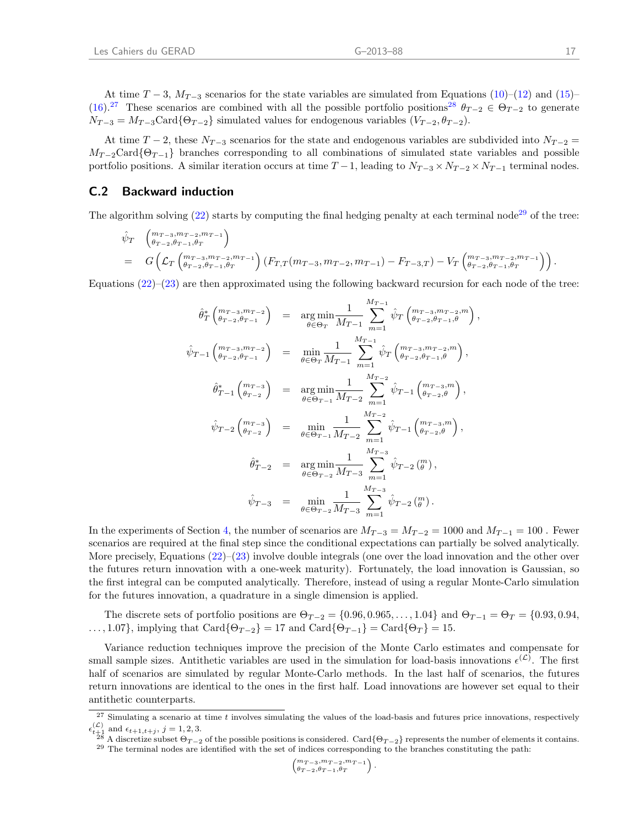At time  $T-3$ ,  $M_{T-3}$  scenarios for the state variables are simulated from Equations [\(10\)](#page-11-1)–[\(12\)](#page-11-1) and [\(15\)](#page-14-1)– [\(16\)](#page-14-1).<sup>[27](#page-21-0)</sup> These scenarios are combined with all the possible portfolio positions<sup>[28](#page-21-1)</sup>  $\theta_{T-2} \in \Theta_{T-2}$  to generate  $N_{T-3} = M_{T-3}$ Card{ $\Theta_{T-2}$ } simulated values for endogenous variables  $(V_{T-2}, \theta_{T-2})$ .

At time  $T-2$ , these  $N_{T-3}$  scenarios for the state and endogenous variables are subdivided into  $N_{T-2}$  =  $M_{T-2}$ Card{ $\Theta_{T-1}$ } branches corresponding to all combinations of simulated state variables and possible portfolio positions. A similar iteration occurs at time  $T-1$ , leading to  $N_{T-3} \times N_{T-2} \times N_{T-1}$  terminal nodes.

### C.2 Backward induction

 $\mathfrak{c}$ 

The algorithm solving  $(22)$  starts by computing the final hedging penalty at each terminal node<sup>[29](#page-21-2)</sup> of the tree:

$$
\hat{\psi}_T \begin{pmatrix} m_{T-3}, m_{T-2}, m_{T-1} \\ \theta_{T-2}, \theta_{T-1}, \theta_T \end{pmatrix}
$$
\n
$$
= G \left( \mathcal{L}_T \begin{pmatrix} m_{T-3}, m_{T-2}, m_{T-1} \\ \theta_{T-2}, \theta_{T-1}, \theta_T \end{pmatrix} (F_{T,T} (m_{T-3}, m_{T-2}, m_{T-1}) - F_{T-3,T}) - V_T \begin{pmatrix} m_{T-3}, m_{T-2}, m_{T-1} \\ \theta_{T-2}, \theta_{T-1}, \theta_T \end{pmatrix} \right).
$$

Equations  $(22)-(23)$  $(22)-(23)$  $(22)-(23)$  are then approximated using the following backward recursion for each node of the tree:

$$
\hat{\theta}_{T}^{*}\begin{pmatrix} m_{T-3}, m_{T-2} \\ \theta_{T-2}, \theta_{T-1} \end{pmatrix} = \underset{\theta \in \Theta_{T}}{\arg \min} \frac{1}{M_{T-1}} \sum_{m=1}^{M_{T-1}} \hat{\psi}_{T} \begin{pmatrix} m_{T-3}, m_{T-2}, m \\ \theta_{T-2}, \theta_{T-1}, \theta \end{pmatrix},
$$
\n
$$
\hat{\psi}_{T-1} \begin{pmatrix} m_{T-3}, m_{T-2} \\ \theta_{T-2}, \theta_{T-1} \end{pmatrix} = \underset{\theta \in \Theta_{T}}{\min} \frac{1}{M_{T-1}} \sum_{m=1}^{M_{T-1}} \hat{\psi}_{T} \begin{pmatrix} m_{T-3}, m_{T-2}, m \\ \theta_{T-2}, \theta_{T-1}, \theta \end{pmatrix},
$$
\n
$$
\hat{\theta}_{T-1}^{*}\begin{pmatrix} m_{T-3} \\ \theta_{T-2} \end{pmatrix} = \underset{\theta \in \Theta_{T-1}}{\arg \min} \frac{1}{M_{T-2}} \sum_{m=1}^{M_{T-2}} \hat{\psi}_{T-1} \begin{pmatrix} m_{T-3}, m \\ \theta_{T-2}, \theta \end{pmatrix},
$$
\n
$$
\hat{\psi}_{T-2} \begin{pmatrix} m_{T-3} \\ \theta_{T-2} \end{pmatrix} = \underset{\theta \in \Theta_{T-1}}{\min} \frac{1}{M_{T-2}} \sum_{m=1}^{M_{T-2}} \hat{\psi}_{T-1} \begin{pmatrix} m_{T-3}, m \\ \theta_{T-2}, \theta \end{pmatrix},
$$
\n
$$
\hat{\theta}_{T-2}^{*} = \underset{\theta \in \Theta_{T-2}}{\arg \min} \frac{1}{M_{T-3}} \sum_{m=1}^{M_{T-3}} \hat{\psi}_{T-2} \begin{pmatrix} m \\ \theta \end{pmatrix},
$$
\n
$$
\hat{\psi}_{T-3} = \underset{\theta \in \Theta_{T-2}}{\min} \frac{1}{M_{T-3}} \sum_{m=1}^{M_{T-3}} \hat{\psi}_{T-2} \begin{pmatrix} m \\ \theta \end{pmatrix}.
$$

In the experiments of Section [4,](#page-16-0) the number of scenarios are  $M_{T-3} = M_{T-2} = 1000$  and  $M_{T-1} = 100$ . Fewer scenarios are required at the final step since the conditional expectations can partially be solved analytically. More precisely, Equations [\(22\)](#page-20-2)–[\(23\)](#page-20-2) involve double integrals (one over the load innovation and the other over the futures return innovation with a one-week maturity). Fortunately, the load innovation is Gaussian, so the first integral can be computed analytically. Therefore, instead of using a regular Monte-Carlo simulation for the futures innovation, a quadrature in a single dimension is applied.

The discrete sets of portfolio positions are  $\Theta_{T-2} = \{0.96, 0.965, \ldots, 1.04\}$  and  $\Theta_{T-1} = \Theta_T = \{0.93, 0.94, \ldots, 0.96, 0.96, \ldots, 0.96, 0.96, \ldots, 0.96, \ldots, 0.96, \ldots, 0.96, \ldots, 0.96, \ldots, 0.96, \ldots, 0.96, \ldots, 0.96, \ldots, 0.9$  $\ldots$ , 1.07}, implying that Card $\{\Theta_{T-2}\}=17$  and Card $\{\Theta_{T-1}\}=\text{Card}\{\Theta_T\}=15$ .

Variance reduction techniques improve the precision of the Monte Carlo estimates and compensate for small sample sizes. Antithetic variables are used in the simulation for load-basis innovations  $\epsilon^{(\mathcal{L})}$ . The first half of scenarios are simulated by regular Monte-Carlo methods. In the last half of scenarios, the futures return innovations are identical to the ones in the first half. Load innovations are however set equal to their antithetic counterparts.

$$
\left(\begin{matrix}m_{T-3},m_{T-2},m_{T-1}\\ \theta_{T-2},\theta_{T-1},\theta_{T}\end{matrix}\right)
$$

.

<span id="page-21-0"></span> $27$  Simulating a scenario at time t involves simulating the values of the load-basis and futures price innovations, respectively  $\epsilon_{t+1}^{(\mathcal{L})}$  and  $\epsilon_{t+1,t+j}, j = 1, 2, 3.$ 

<span id="page-21-2"></span><span id="page-21-1"></span><sup>&</sup>lt;sup>28</sup> A discretize subset  $\Theta_{T-2}$  of the possible positions is considered. Card{ $\Theta_{T-2}$ } represents the number of elements it contains.  $29$  The terminal nodes are identified with the set of indices corresponding to the branches constituting the path: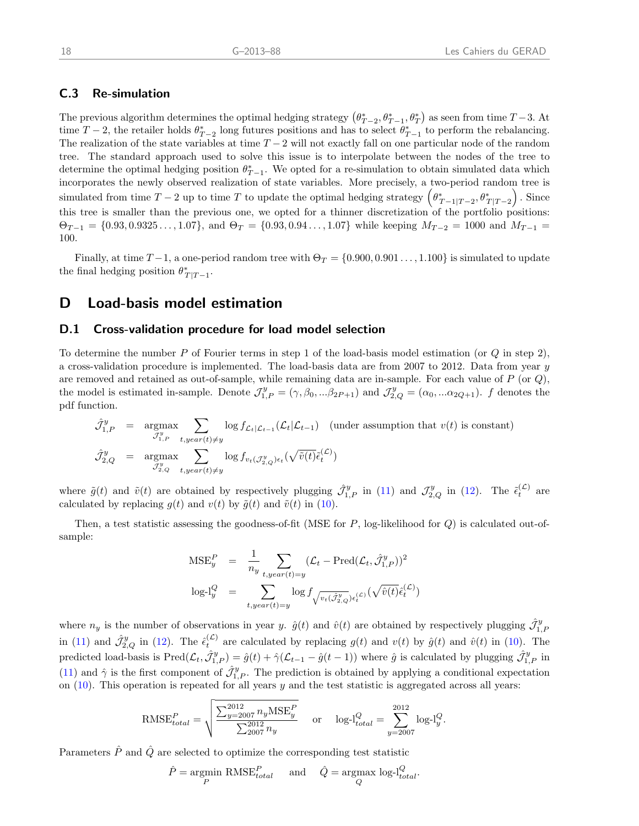### C.3 Re-simulation

The previous algorithm determines the optimal hedging strategy  $(\theta_{T-2}^*, \theta_{T-1}^*, \theta_T^*)$  as seen from time  $T-3$ . At time  $T-2$ , the retailer holds  $\theta_{T-2}^*$  long futures positions and has to select  $\theta_{T-1}^*$  to perform the rebalancing. The realization of the state variables at time  $T - 2$  will not exactly fall on one particular node of the random tree. The standard approach used to solve this issue is to interpolate between the nodes of the tree to determine the optimal hedging position  $\theta_{T-1}^*$ . We opted for a re-simulation to obtain simulated data which incorporates the newly observed realization of state variables. More precisely, a two-period random tree is simulated from time  $T-2$  up to time T to update the optimal hedging strategy  $(\theta_{T-1|T-2}^*, \theta_{T|T-2}^*)$ . Since this tree is smaller than the previous one, we opted for a thinner discretization of the portfolio positions:  $\Theta_{T-1} = \{0.93, 0.9325\dots, 1.07\}$ , and  $\Theta_T = \{0.93, 0.94\dots, 1.07\}$  while keeping  $M_{T-2} = 1000$  and  $M_{T-1} =$ 100.

Finally, at time  $T-1$ , a one-period random tree with  $\Theta_T = \{0.900, 0.901\dots, 1.100\}$  is simulated to update the final hedging position  $\theta^*_{T|T-1}$ .

# D Load-basis model estimation

#### <span id="page-22-0"></span>D.1 Cross-validation procedure for load model selection

To determine the number P of Fourier terms in step 1 of the load-basis model estimation (or  $Q$  in step 2), a cross-validation procedure is implemented. The load-basis data are from 2007 to 2012. Data from year y are removed and retained as out-of-sample, while remaining data are in-sample. For each value of  $P$  (or  $Q$ ), the model is estimated in-sample. Denote  $\mathcal{J}_{1,P}^y = (\gamma, \beta_0, ... \beta_{2P+1})$  and  $\mathcal{J}_{2,Q}^y = (\alpha_0, ... \alpha_{2Q+1})$ . f denotes the pdf function.

$$
\hat{\mathcal{J}}_{1,P}^{y} = \underset{\mathcal{J}_{1,P}^{y} \text{argmax}}{\text{argmax}} \sum_{t, y \in ar(t) \neq y} \log f_{\mathcal{L}_t|\mathcal{L}_{t-1}}(\mathcal{L}_t|\mathcal{L}_{t-1}) \quad \text{(under assumption that } v(t) \text{ is constant)}
$$
\n
$$
\hat{\mathcal{J}}_{2,Q}^{y} = \underset{\mathcal{J}_{2,Q}^{y} \text{argmax}}{\text{argmax}} \sum_{t, y \in ar(t) \neq y} \log f_{v_t(\mathcal{J}_{2,Q}^{y})\epsilon_t}(\sqrt{\tilde{v}(t)}\tilde{\epsilon}_{t}^{(\mathcal{L})})
$$

where  $\tilde{g}(t)$  and  $\tilde{v}(t)$  are obtained by respectively plugging  $\hat{\mathcal{J}}_{1,P}^y$  in [\(11\)](#page-11-1) and  $\mathcal{J}_{2,Q}^y$  in [\(12\)](#page-11-1). The  $\tilde{\epsilon}_t^{(\mathcal{L})}$  are calculated by replacing  $g(t)$  and  $v(t)$  by  $\tilde{g}(t)$  and  $\tilde{v}(t)$  in [\(10\)](#page-11-1).

Then, a test statistic assessing the goodness-of-fit (MSE for  $P$ , log-likelihood for  $Q$ ) is calculated out-ofsample:

$$
\text{MSE}_{y}^{P} = \frac{1}{n_{y}} \sum_{t, year(t) = y} (\mathcal{L}_{t} - \text{Pred}(\mathcal{L}_{t}, \hat{\mathcal{J}}_{1, P}^{y}))^{2}
$$

$$
\text{log-1}_{y}^{Q} = \sum_{t, year(t) = y} \text{log} f_{\sqrt{v_{t}(\hat{\mathcal{J}}_{2, Q}^{y})} \epsilon_{t}^{(\mathcal{L})}}(\sqrt{\hat{v}(t)} \hat{\epsilon}_{t}^{(\mathcal{L})})
$$

where  $n_y$  is the number of observations in year y.  $\hat{g}(t)$  and  $\hat{v}(t)$  are obtained by respectively plugging  $\hat{J}_{1,P}^y$ in [\(11\)](#page-11-1) and  $\hat{\mathcal{J}}_{2,Q}^{y}$  in [\(12\)](#page-11-1). The  $\hat{\epsilon}_{t}^{(\mathcal{L})}$  are calculated by replacing  $g(t)$  and  $v(t)$  by  $\hat{g}(t)$  and  $\hat{v}(t)$  in [\(10\)](#page-11-1). The predicted load-basis is  $Pred(\mathcal{L}_t, \hat{\mathcal{J}}_{1,P}^y) = \hat{g}(t) + \hat{\gamma}(\mathcal{L}_{t-1} - \hat{g}(t-1))$  where  $\hat{g}$  is calculated by plugging  $\hat{\mathcal{J}}_{1,P}^y$  in [\(11\)](#page-11-1) and  $\hat{\gamma}$  is the first component of  $\hat{\mathcal{J}}_{1,P}^y$ . The prediction is obtained by applying a conditional expectation on  $(10)$ . This operation is repeated for all years y and the test statistic is aggregated across all years:

$$
\text{RMSE}_{total}^{P} = \sqrt{\frac{\sum_{y=2007}^{2012} n_y \text{MSE}_{y}^{P}}{\sum_{2007}^{2012} n_y}} \quad \text{or} \quad \log \text{-l}_{total}^{Q} = \sum_{y=2007}^{2012} \log \text{-l}_{y}^{Q}.
$$

Parameters  $\hat{P}$  and  $\hat{Q}$  are selected to optimize the corresponding test statistic

$$
\hat{P} = \underset{P}{\text{argmin}} \text{ RMSE}_{total}^{P} \quad \text{and} \quad \hat{Q} = \underset{Q}{\text{argmax}} \log \text{-l}_{total}^{Q}.
$$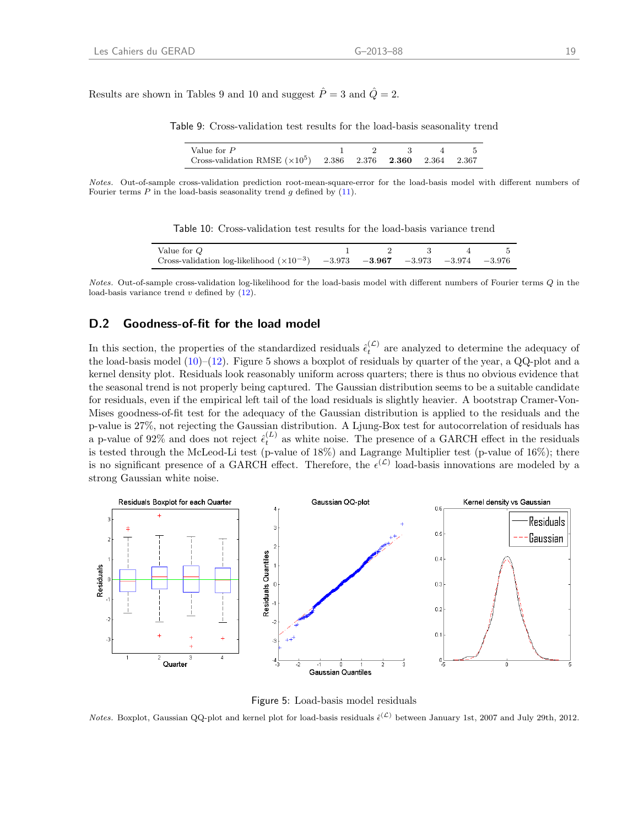Results are shown in Tables 9 and 10 and suggest  $\hat{P} = 3$  and  $\hat{Q} = 2$ .

Table 9: Cross-validation test results for the load-basis seasonality trend

| Value for P                                                         |  | $1 \t 2 \t 3 \t 4 \t 5$ |  |
|---------------------------------------------------------------------|--|-------------------------|--|
| Cross-validation RMSE $(\times 10^5)$ 2.386 2.376 2.360 2.364 2.367 |  |                         |  |

Notes. Out-of-sample cross-validation prediction root-mean-square-error for the load-basis model with different numbers of Fourier terms  $P$  in the load-basis seasonality trend  $q$  defined by  $(11)$ .

| Table 10: Cross-validation test results for the load-basis variance trend |  |  |  |  |  |
|---------------------------------------------------------------------------|--|--|--|--|--|
|---------------------------------------------------------------------------|--|--|--|--|--|

| Value for Q                                                                           |  |  |  |
|---------------------------------------------------------------------------------------|--|--|--|
| Cross-validation log-likelihood $(\times 10^{-3})$ -3.973 -3.967 -3.973 -3.974 -3.976 |  |  |  |

Notes. Out-of-sample cross-validation log-likelihood for the load-basis model with different numbers of Fourier terms Q in the load-basis variance trend  $v$  defined by  $(12)$ .

### <span id="page-23-0"></span>D.2 Goodness-of-fit for the load model

In this section, the properties of the standardized residuals  $\hat{\epsilon}^{(\mathcal{L})}_{t}$  are analyzed to determine the adequacy of the load-basis model  $(10)$ – $(12)$ . Figure 5 shows a boxplot of residuals by quarter of the year, a QQ-plot and a kernel density plot. Residuals look reasonably uniform across quarters; there is thus no obvious evidence that the seasonal trend is not properly being captured. The Gaussian distribution seems to be a suitable candidate for residuals, even if the empirical left tail of the load residuals is slightly heavier. A bootstrap Cramer-Von-Mises goodness-of-fit test for the adequacy of the Gaussian distribution is applied to the residuals and the p-value is 27%, not rejecting the Gaussian distribution. A Ljung-Box test for autocorrelation of residuals has a p-value of 92% and does not reject  $\hat{\epsilon}_t^{(L)}$  as white noise. The presence of a GARCH effect in the residuals is tested through the McLeod-Li test (p-value of 18%) and Lagrange Multiplier test (p-value of 16%); there is no significant presence of a GARCH effect. Therefore, the  $\epsilon^{(\mathcal{L})}$  load-basis innovations are modeled by a strong Gaussian white noise.



Figure 5: Load-basis model residuals

*Notes.* Boxplot, Gaussian QQ-plot and kernel plot for load-basis residuals  $\hat{\epsilon}^{(\mathcal{L})}$  between January 1st, 2007 and July 29th, 2012.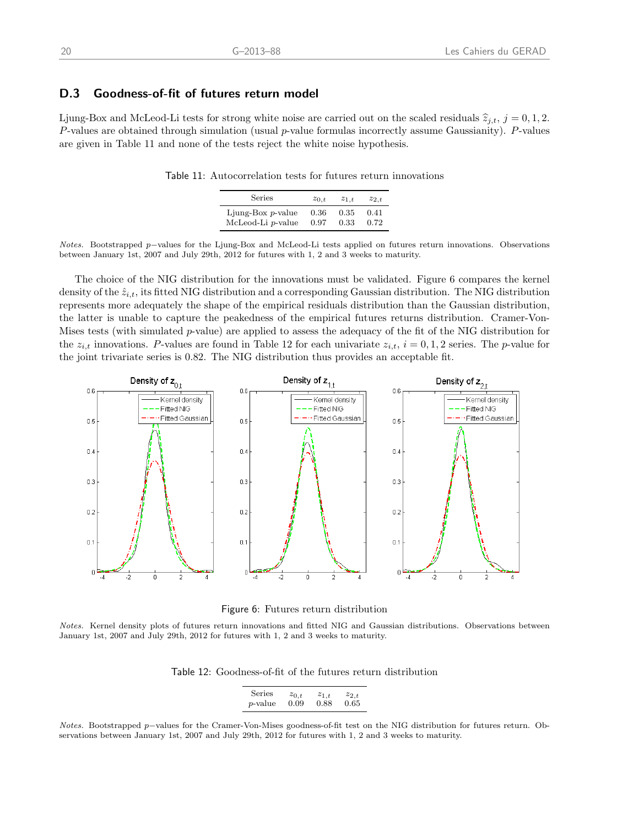### <span id="page-24-0"></span>D.3 Goodness-of-fit of futures return model

Ljung-Box and McLeod-Li tests for strong white noise are carried out on the scaled residuals  $\hat{z}_{j,t}$ ,  $j = 0, 1, 2$ . P-values are obtained through simulation (usual p-value formulas incorrectly assume Gaussianity). P-values are given in Table 11 and none of the tests reject the white noise hypothesis.

Table 11: Autocorrelation tests for futures return innovations

| Series               | $z_{0,t}$ | $z_{1,t}$ | $z_{2,t}$ |
|----------------------|-----------|-----------|-----------|
| Ljung-Box $p$ -value | 0.36      | 0.35      | 0.41      |
| McLeod-Li p-value    | 0.97      | 0.33      | 0.72      |

Notes. Bootstrapped p–values for the Ljung-Box and McLeod-Li tests applied on futures return innovations. Observations between January 1st, 2007 and July 29th, 2012 for futures with 1, 2 and 3 weeks to maturity.

The choice of the NIG distribution for the innovations must be validated. Figure 6 compares the kernel density of the  $\hat{z}_{i,t}$ , its fitted NIG distribution and a corresponding Gaussian distribution. The NIG distribution represents more adequately the shape of the empirical residuals distribution than the Gaussian distribution, the latter is unable to capture the peakedness of the empirical futures returns distribution. Cramer-Von-Mises tests (with simulated p-value) are applied to assess the adequacy of the fit of the NIG distribution for the  $z_{i,t}$  innovations. P-values are found in Table 12 for each univariate  $z_{i,t}$ ,  $i = 0, 1, 2$  series. The p-value for the joint trivariate series is 0.82. The NIG distribution thus provides an acceptable fit.



Figure 6: Futures return distribution

Notes. Kernel density plots of futures return innovations and fitted NIG and Gaussian distributions. Observations between January 1st, 2007 and July 29th, 2012 for futures with 1, 2 and 3 weeks to maturity.

Table 12: Goodness-of-fit of the futures return distribution

| Series          | $z_{0,t}$ | $z_{1,t}$ | $z_{2,t}$ |
|-----------------|-----------|-----------|-----------|
| <i>p</i> -value | 0.09      | 0.88      | 0.65      |

Notes. Bootstrapped p–values for the Cramer-Von-Mises goodness-of-fit test on the NIG distribution for futures return. Observations between January 1st, 2007 and July 29th, 2012 for futures with 1, 2 and 3 weeks to maturity.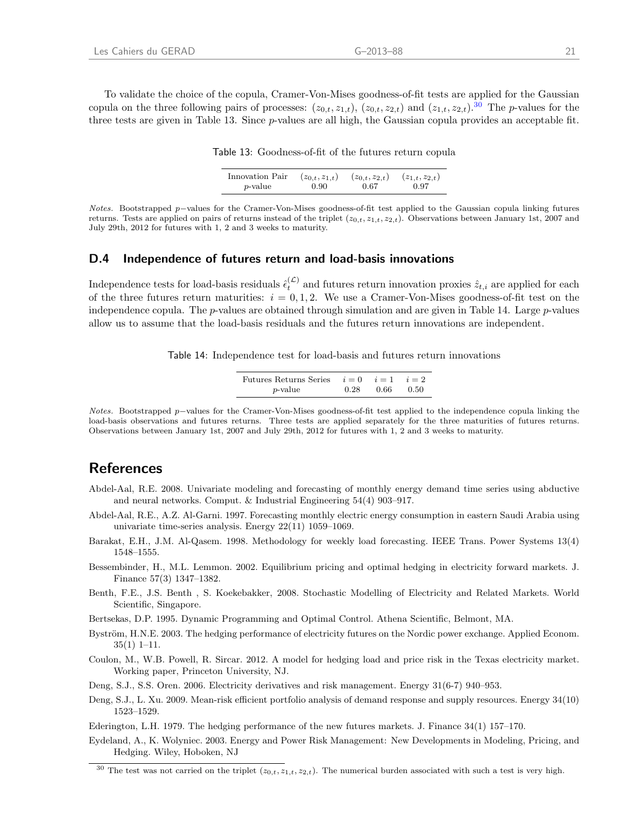To validate the choice of the copula, Cramer-Von-Mises goodness-of-fit tests are applied for the Gaussian copula on the three following pairs of processes:  $(z_{0,t}, z_{1,t})$ ,  $(z_{0,t}, z_{2,t})$  and  $(z_{1,t}, z_{2,t})$ .<sup>[30](#page-25-13)</sup> The *p*-values for the three tests are given in Table 13. Since p-values are all high, the Gaussian copula provides an acceptable fit.

Table 13: Goodness-of-fit of the futures return copula

| Innovation Pair | $(z_{0,t}, z_{1,t})$ | $(z_{0,t}, z_{2,t})$ | $(z_{1,t}, z_{2,t})$ |
|-----------------|----------------------|----------------------|----------------------|
| <i>p</i> -value | 0.90                 | 0.67                 | 0.97                 |

Notes. Bootstrapped p–values for the Cramer-Von-Mises goodness-of-fit test applied to the Gaussian copula linking futures returns. Tests are applied on pairs of returns instead of the triplet  $(z_{0,t}, z_{1,t}, z_{2,t})$ . Observations between January 1st, 2007 and July 29th, 2012 for futures with 1, 2 and 3 weeks to maturity.

#### <span id="page-25-11"></span>D.4 Independence of futures return and load-basis innovations

Independence tests for load-basis residuals  $\hat{\epsilon}_t^{(\mathcal{L})}$  and futures return innovation proxies  $\hat{z}_{t,i}$  are applied for each of the three futures return maturities:  $i = 0, 1, 2$ . We use a Cramer-Von-Mises goodness-of-fit test on the independence copula. The  $p$ -values are obtained through simulation and are given in Table 14. Large  $p$ -values allow us to assume that the load-basis residuals and the futures return innovations are independent.

Table 14: Independence test for load-basis and futures return innovations

| Futures Returns Series $i=0$ $i=1$ $i=2$ |      |      |      |
|------------------------------------------|------|------|------|
| <i>p</i> -value                          | 0.28 | 0.66 | 0.50 |

Notes. Bootstrapped p–values for the Cramer-Von-Mises goodness-of-fit test applied to the independence copula linking the load-basis observations and futures returns. Three tests are applied separately for the three maturities of futures returns. Observations between January 1st, 2007 and July 29th, 2012 for futures with 1, 2 and 3 weeks to maturity.

# References

- <span id="page-25-7"></span>Abdel-Aal, R.E. 2008. Univariate modeling and forecasting of monthly energy demand time series using abductive and neural networks. Comput. & Industrial Engineering 54(4) 903–917.
- <span id="page-25-8"></span>Abdel-Aal, R.E., A.Z. Al-Garni. 1997. Forecasting monthly electric energy consumption in eastern Saudi Arabia using univariate time-series analysis. Energy 22(11) 1059–1069.
- <span id="page-25-9"></span>Barakat, E.H., J.M. Al-Qasem. 1998. Methodology for weekly load forecasting. IEEE Trans. Power Systems 13(4) 1548–1555.
- <span id="page-25-1"></span>Bessembinder, H., M.L. Lemmon. 2002. Equilibrium pricing and optimal hedging in electricity forward markets. J. Finance 57(3) 1347–1382.
- <span id="page-25-10"></span>Benth, F.E., J.S. Benth , S. Koekebakker, 2008. Stochastic Modelling of Electricity and Related Markets. World Scientific, Singapore.
- <span id="page-25-12"></span>Bertsekas, D.P. 1995. Dynamic Programming and Optimal Control. Athena Scientific, Belmont, MA.
- <span id="page-25-4"></span>Byström, H.N.E. 2003. The hedging performance of electricity futures on the Nordic power exchange. Applied Econom. 35(1) 1–11.
- <span id="page-25-6"></span>Coulon, M., W.B. Powell, R. Sircar. 2012. A model for hedging load and price risk in the Texas electricity market. Working paper, Princeton University, NJ.
- <span id="page-25-0"></span>Deng, S.J., S.S. Oren. 2006. Electricity derivatives and risk management. Energy 31(6-7) 940–953.
- <span id="page-25-2"></span>Deng, S.J., L. Xu. 2009. Mean-risk efficient portfolio analysis of demand response and supply resources. Energy 34(10) 1523–1529.
- <span id="page-25-3"></span>Ederington, L.H. 1979. The hedging performance of the new futures markets. J. Finance 34(1) 157–170.
- <span id="page-25-5"></span>Eydeland, A., K. Wolyniec. 2003. Energy and Power Risk Management: New Developments in Modeling, Pricing, and Hedging. Wiley, Hoboken, NJ

<span id="page-25-13"></span><sup>&</sup>lt;sup>30</sup> The test was not carried on the triplet  $(z_{0,t}, z_{1,t}, z_{2,t})$ . The numerical burden associated with such a test is very high.